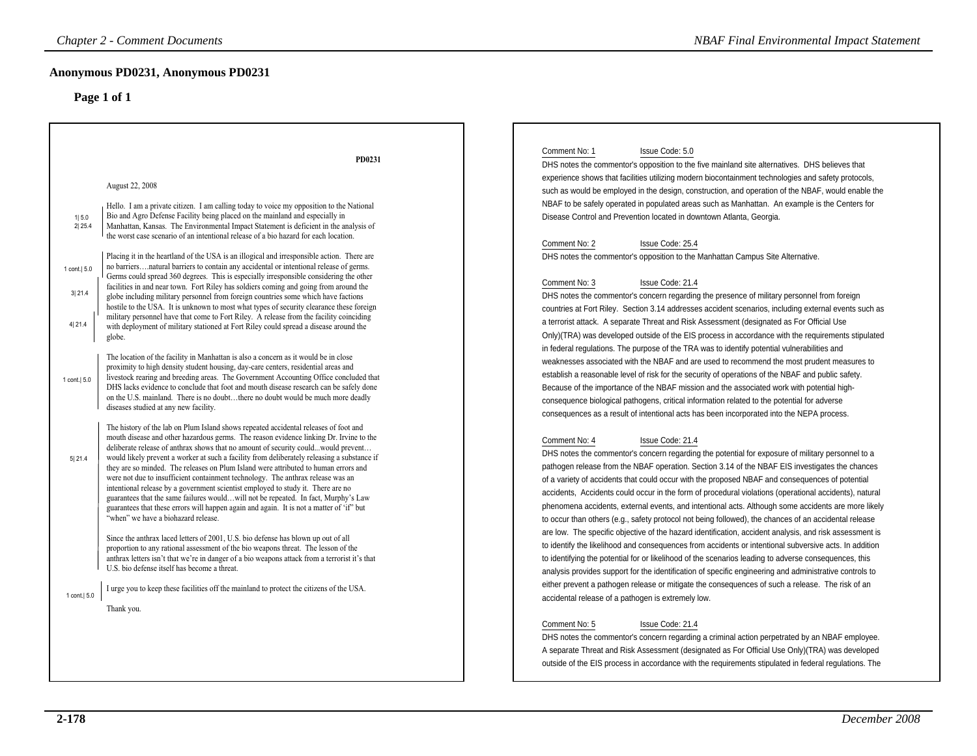| <b>Chapter 2 - Comment Documents</b>                                                                                                                                                                                                                                        |                                                                                                                                                                                                                                                                                                                                                                                                                                                                                                                                                                                                                                                                                                                                                                                                                                                                                                                                                                                                                                                                                                                                                                                                                                                                                                                                                                                                                                                                                                                                                                                                                                                                                                                                                                                                                                                                                                                                                                                                                                                                                                                                                                                                                                                                                                                                                                                                                                                                                                                                                                                                                                                                                                                                                                       | <b>NBAF Final Environmental Impact Statement</b>                                                                                                                                                                                                                                                                                                                                                                                                                                                                                                                                                                                                                                                                                                                                                                                                                                                                                                                                                                                                                                                                                                                                                                                                                                                                                                                                                                                                                                                                                                                                                                                                                                                                                                                                                                                                                                                                                                                                                                                                                                                                                                                                                                                                                                                                                                                                                                                                                                                                                                                                                                                                                                                                                                                                                                                                                                                                                                                                                                                                                                                                                                                                                                                                                                                                              |
|-----------------------------------------------------------------------------------------------------------------------------------------------------------------------------------------------------------------------------------------------------------------------------|-----------------------------------------------------------------------------------------------------------------------------------------------------------------------------------------------------------------------------------------------------------------------------------------------------------------------------------------------------------------------------------------------------------------------------------------------------------------------------------------------------------------------------------------------------------------------------------------------------------------------------------------------------------------------------------------------------------------------------------------------------------------------------------------------------------------------------------------------------------------------------------------------------------------------------------------------------------------------------------------------------------------------------------------------------------------------------------------------------------------------------------------------------------------------------------------------------------------------------------------------------------------------------------------------------------------------------------------------------------------------------------------------------------------------------------------------------------------------------------------------------------------------------------------------------------------------------------------------------------------------------------------------------------------------------------------------------------------------------------------------------------------------------------------------------------------------------------------------------------------------------------------------------------------------------------------------------------------------------------------------------------------------------------------------------------------------------------------------------------------------------------------------------------------------------------------------------------------------------------------------------------------------------------------------------------------------------------------------------------------------------------------------------------------------------------------------------------------------------------------------------------------------------------------------------------------------------------------------------------------------------------------------------------------------------------------------------------------------------------------------------------------------|-------------------------------------------------------------------------------------------------------------------------------------------------------------------------------------------------------------------------------------------------------------------------------------------------------------------------------------------------------------------------------------------------------------------------------------------------------------------------------------------------------------------------------------------------------------------------------------------------------------------------------------------------------------------------------------------------------------------------------------------------------------------------------------------------------------------------------------------------------------------------------------------------------------------------------------------------------------------------------------------------------------------------------------------------------------------------------------------------------------------------------------------------------------------------------------------------------------------------------------------------------------------------------------------------------------------------------------------------------------------------------------------------------------------------------------------------------------------------------------------------------------------------------------------------------------------------------------------------------------------------------------------------------------------------------------------------------------------------------------------------------------------------------------------------------------------------------------------------------------------------------------------------------------------------------------------------------------------------------------------------------------------------------------------------------------------------------------------------------------------------------------------------------------------------------------------------------------------------------------------------------------------------------------------------------------------------------------------------------------------------------------------------------------------------------------------------------------------------------------------------------------------------------------------------------------------------------------------------------------------------------------------------------------------------------------------------------------------------------------------------------------------------------------------------------------------------------------------------------------------------------------------------------------------------------------------------------------------------------------------------------------------------------------------------------------------------------------------------------------------------------------------------------------------------------------------------------------------------------------------------------------------------------------------------------------------------------|
| Anonymous PD0231, Anonymous PD0231<br>Page 1 of 1                                                                                                                                                                                                                           |                                                                                                                                                                                                                                                                                                                                                                                                                                                                                                                                                                                                                                                                                                                                                                                                                                                                                                                                                                                                                                                                                                                                                                                                                                                                                                                                                                                                                                                                                                                                                                                                                                                                                                                                                                                                                                                                                                                                                                                                                                                                                                                                                                                                                                                                                                                                                                                                                                                                                                                                                                                                                                                                                                                                                                       |                                                                                                                                                                                                                                                                                                                                                                                                                                                                                                                                                                                                                                                                                                                                                                                                                                                                                                                                                                                                                                                                                                                                                                                                                                                                                                                                                                                                                                                                                                                                                                                                                                                                                                                                                                                                                                                                                                                                                                                                                                                                                                                                                                                                                                                                                                                                                                                                                                                                                                                                                                                                                                                                                                                                                                                                                                                                                                                                                                                                                                                                                                                                                                                                                                                                                                                               |
| August 22, 2008<br>1 5.0<br>2 25.4<br>1 cont.   5.0<br>3 21.4<br>4 21.4<br>globe.<br>1 cont.   5.0<br>diseases studied at any new facility.<br>5 21.4<br>"when" we have a biohazard release.<br>U.S. bio defense itself has become a threat.<br>1 cont.   5.0<br>Thank you. | PD0231<br>Hello. I am a private citizen. I am calling today to voice my opposition to the National<br>Bio and Agro Defense Facility being placed on the mainland and especially in<br>Manhattan, Kansas. The Environmental Impact Statement is deficient in the analysis of<br>the worst case scenario of an intentional release of a bio hazard for each location.<br>Placing it in the heartland of the USA is an illogical and irresponsible action. There are<br>no barriersnatural barriers to contain any accidental or intentional release of germs.<br>Germs could spread 360 degrees. This is especially irresponsible considering the other<br>facilities in and near town. Fort Riley has soldiers coming and going from around the<br>globe including military personnel from foreign countries some which have factions<br>hostile to the USA. It is unknown to most what types of security clearance these foreign<br>military personnel have that come to Fort Riley. A release from the facility coinciding<br>with deployment of military stationed at Fort Riley could spread a disease around the<br>The location of the facility in Manhattan is also a concern as it would be in close<br>proximity to high density student housing, day-care centers, residential areas and<br>livestock rearing and breeding areas. The Government Accounting Office concluded that<br>DHS lacks evidence to conclude that foot and mouth disease research can be safely done<br>on the U.S. mainland. There is no doubtthere no doubt would be much more deadly<br>The history of the lab on Plum Island shows repeated accidental releases of foot and<br>mouth disease and other hazardous germs. The reason evidence linking Dr. Irvine to the<br>deliberate release of anthrax shows that no amount of security couldwould prevent<br>would likely prevent a worker at such a facility from deliberately releasing a substance if<br>they are so minded. The releases on Plum Island were attributed to human errors and<br>were not due to insufficient containment technology. The anthrax release was an<br>intentional release by a government scientist employed to study it. There are no<br>guarantees that the same failures wouldwill not be repeated. In fact, Murphy's Law<br>guarantees that these errors will happen again and again. It is not a matter of 'if' but<br>Since the anthrax laced letters of 2001, U.S. bio defense has blown up out of all<br>proportion to any rational assessment of the bio weapons threat. The lesson of the<br>anthrax letters isn't that we're in danger of a bio weapons attack from a terrorist it's that<br>I urge you to keep these facilities off the mainland to protect the citizens of the USA. | Comment No: 1<br>Issue Code: 5.0<br>DHS notes the commentor's opposition to the five mainland site alternatives. DHS believes that<br>experience shows that facilities utilizing modern biocontainment technologies and safety protocols,<br>such as would be employed in the design, construction, and operation of the NBAF, would enable the<br>NBAF to be safely operated in populated areas such as Manhattan. An example is the Centers for<br>Disease Control and Prevention located in downtown Atlanta, Georgia.<br>Comment No: 2<br>Issue Code: 25.4<br>DHS notes the commentor's opposition to the Manhattan Campus Site Alternative.<br>Comment No: 3<br>Issue Code: 21.4<br>DHS notes the commentor's concern regarding the presence of military personnel from foreign<br>countries at Fort Riley. Section 3.14 addresses accident scenarios, including external events such as<br>a terrorist attack. A separate Threat and Risk Assessment (designated as For Official Use<br>Only)(TRA) was developed outside of the EIS process in accordance with the requirements stipulated<br>in federal regulations. The purpose of the TRA was to identify potential vulnerabilities and<br>weaknesses associated with the NBAF and are used to recommend the most prudent measures to<br>establish a reasonable level of risk for the security of operations of the NBAF and public safety.<br>Because of the importance of the NBAF mission and the associated work with potential high-<br>consequence biological pathogens, critical information related to the potential for adverse<br>consequences as a result of intentional acts has been incorporated into the NEPA process.<br>Comment No: 4<br>Issue Code: 21.4<br>DHS notes the commentor's concern regarding the potential for exposure of military personnel to a<br>pathogen release from the NBAF operation. Section 3.14 of the NBAF EIS investigates the chances<br>of a variety of accidents that could occur with the proposed NBAF and consequences of potential<br>accidents, Accidents could occur in the form of procedural violations (operational accidents), natural<br>phenomena accidents, external events, and intentional acts. Although some accidents are more likely<br>to occur than others (e.g., safety protocol not being followed), the chances of an accidental release<br>are low. The specific objective of the hazard identification, accident analysis, and risk assessment is<br>to identify the likelihood and consequences from accidents or intentional subversive acts. In addition<br>to identifying the potential for or likelihood of the scenarios leading to adverse consequences, this<br>analysis provides support for the identification of specific engineering and administrative controls to<br>either prevent a pathogen release or mitigate the consequences of such a release. The risk of an<br>accidental release of a pathogen is extremely low.<br>Comment No: 5<br>Issue Code: 21.4<br>DHS notes the commentor's concern regarding a criminal action perpetrated by an NBAF employee.<br>A separate Threat and Risk Assessment (designated as For Official Use Only)(TRA) was developed<br>outside of the EIS process in accordance with the requirements stipulated in federal requlations. The |
|                                                                                                                                                                                                                                                                             |                                                                                                                                                                                                                                                                                                                                                                                                                                                                                                                                                                                                                                                                                                                                                                                                                                                                                                                                                                                                                                                                                                                                                                                                                                                                                                                                                                                                                                                                                                                                                                                                                                                                                                                                                                                                                                                                                                                                                                                                                                                                                                                                                                                                                                                                                                                                                                                                                                                                                                                                                                                                                                                                                                                                                                       |                                                                                                                                                                                                                                                                                                                                                                                                                                                                                                                                                                                                                                                                                                                                                                                                                                                                                                                                                                                                                                                                                                                                                                                                                                                                                                                                                                                                                                                                                                                                                                                                                                                                                                                                                                                                                                                                                                                                                                                                                                                                                                                                                                                                                                                                                                                                                                                                                                                                                                                                                                                                                                                                                                                                                                                                                                                                                                                                                                                                                                                                                                                                                                                                                                                                                                                               |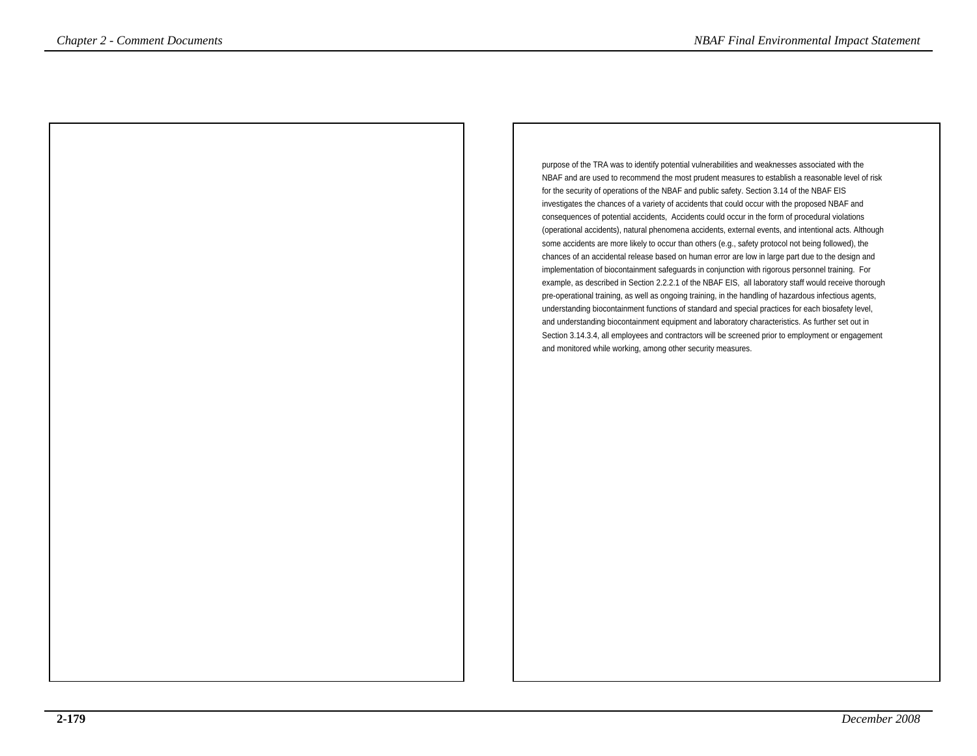purpose of the TRA was to identify potential vulnerabilities and weaknesses associated with the NBAF and are used to recommend the most prudent measures to establish a reasonable level of riskfor the security of operations of the NBAF and public safety. Section 3.14 of the NBAF EIS investigates the chances of a variety of accidents that could occur with the proposed NBAF and consequences of potential accidents, Accidents could occur in the form of procedural violations (operational accidents), natural phenomena accidents, external events, and intentional acts. Althoughsome accidents are more likely to occur than others (e.g., safety protocol not being followed), the chances of an accidental release based on human error are low in large part due to the design and implementation of biocontainment safeguards in conjunction with rigorous personnel training. For example, as described in Section 2.2.2.1 of the NBAF EIS, all laboratory staff would receive thoroughpre-operational training, as well as ongoing training, in the handling of hazardous infectious agents, understanding biocontainment functions of standard and special practices for each biosafety level, and understanding biocontainment equipment and laboratory characteristics. As further set out in Section 3.14.3.4, all employees and contractors will be screened prior to employment or engagementand monitored while working, among other security measures.*NBAF Final Environmental Impact Statement*<br>
parameter de TRA was to identify a developmental interval into was absorbed in the New York of the TRA was to identify a developmental for which we are the New York of the New Y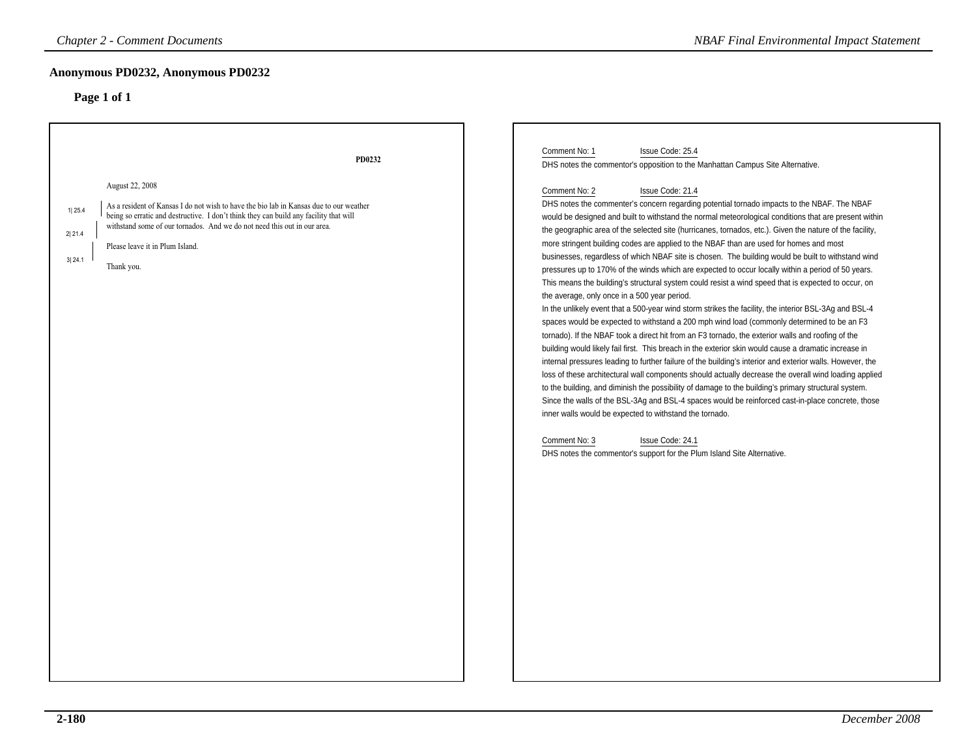### **Anonymous PD0232, Anonymous PD0232**

| <b>Chapter 2 - Comment Documents</b>                                                                                                                                                                                                                                                               | <b>NBAF Final Environmental Impact Statement</b>                                                                                                                                                                                                                                                                                                                                                                                                                                                                                                                                                                                                                                                                                                                                                                                                                                                                                                                                                                                                                                                                                                                                                                                                                                                                                                                                                                                                                                                                                                                                                         |
|----------------------------------------------------------------------------------------------------------------------------------------------------------------------------------------------------------------------------------------------------------------------------------------------------|----------------------------------------------------------------------------------------------------------------------------------------------------------------------------------------------------------------------------------------------------------------------------------------------------------------------------------------------------------------------------------------------------------------------------------------------------------------------------------------------------------------------------------------------------------------------------------------------------------------------------------------------------------------------------------------------------------------------------------------------------------------------------------------------------------------------------------------------------------------------------------------------------------------------------------------------------------------------------------------------------------------------------------------------------------------------------------------------------------------------------------------------------------------------------------------------------------------------------------------------------------------------------------------------------------------------------------------------------------------------------------------------------------------------------------------------------------------------------------------------------------------------------------------------------------------------------------------------------------|
| Anonymous PD0232, Anonymous PD0232<br>Page 1 of 1                                                                                                                                                                                                                                                  |                                                                                                                                                                                                                                                                                                                                                                                                                                                                                                                                                                                                                                                                                                                                                                                                                                                                                                                                                                                                                                                                                                                                                                                                                                                                                                                                                                                                                                                                                                                                                                                                          |
| PD0232<br>August 22, 2008<br>As a resident of Kansas I do not wish to have the bio lab in Kansas due to our weather<br>1 25.4<br>being so erratic and destructive. I don't think they can build any facility that will<br>withstand some of our tornados. And we do not need this out in our area. | Comment No: 1<br>Issue Code: 25.4<br>DHS notes the commentor's opposition to the Manhattan Campus Site Alternative.<br>Comment No: 2<br>Issue Code: 21.4<br>DHS notes the commenter's concern regarding potential tornado impacts to the NBAF. The NBAF<br>would be designed and built to withstand the normal meteorological conditions that are present within                                                                                                                                                                                                                                                                                                                                                                                                                                                                                                                                                                                                                                                                                                                                                                                                                                                                                                                                                                                                                                                                                                                                                                                                                                         |
| 2 21.4<br>Please leave it in Plum Island.<br>3 24.1<br>Thank you.                                                                                                                                                                                                                                  | the geographic area of the selected site (hurricanes, tornados, etc.). Given the nature of the facility,<br>more stringent building codes are applied to the NBAF than are used for homes and most<br>businesses, regardless of which NBAF site is chosen. The building would be built to withstand wind<br>pressures up to 170% of the winds which are expected to occur locally within a period of 50 years.<br>This means the building's structural system could resist a wind speed that is expected to occur, on<br>the average, only once in a 500 year period.<br>In the unlikely event that a 500-year wind storm strikes the facility, the interior BSL-3Ag and BSL-4<br>spaces would be expected to withstand a 200 mph wind load (commonly determined to be an F3<br>tornado). If the NBAF took a direct hit from an F3 tornado, the exterior walls and roofing of the<br>building would likely fail first. This breach in the exterior skin would cause a dramatic increase in<br>internal pressures leading to further failure of the building's interior and exterior walls. However, the<br>loss of these architectural wall components should actually decrease the overall wind loading applied<br>to the building, and diminish the possibility of damage to the building's primary structural system.<br>Since the walls of the BSL-3Ag and BSL-4 spaces would be reinforced cast-in-place concrete, those<br>inner walls would be expected to withstand the tornado.<br>Comment No: 3<br>Issue Code: 24.1<br>DHS notes the commentor's support for the Plum Island Site Alternative. |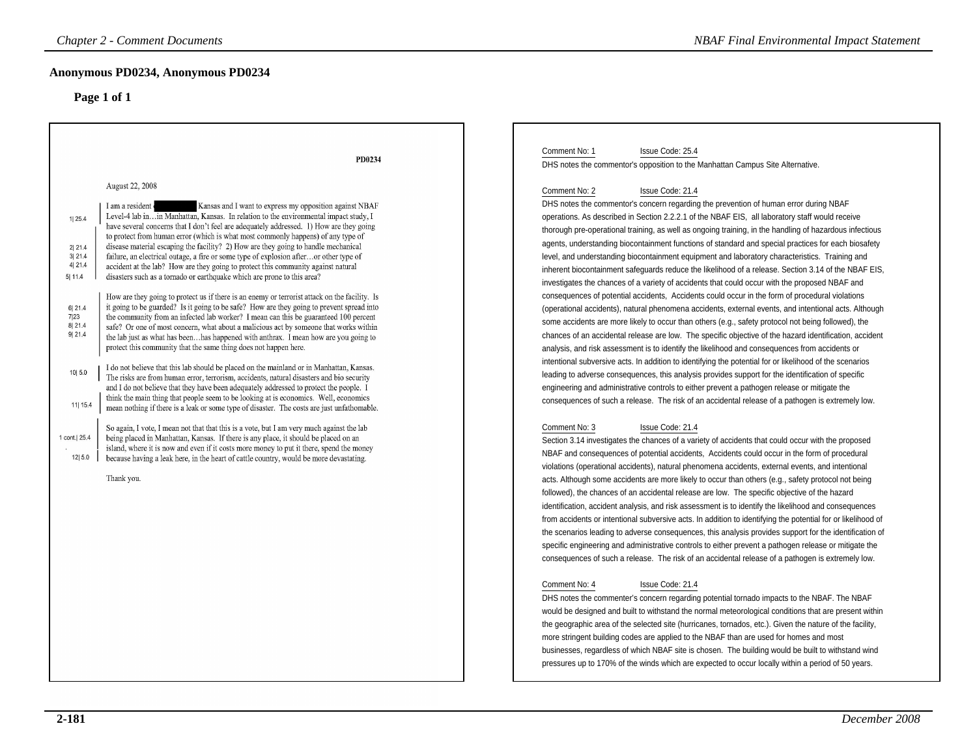## **Anonymous PD0234, Anonymous PD0234**

| <b>Chapter 2 - Comment Documents</b>                                                                                                                                                                                                                                                                                                                                                                                                                                                                                                                                                                                                                                                                                                                                                                                                                                                                                                                                                                                                                                                                                                                                                                                                                                                                                                                                                                                                                                                                                                                                                                                                                                                                                                                                                                                                                                                                                                                                                                                                                                                                                                                                                                                                                                              | <b>NBAF Final Environmental Impact Statement</b>                                                                                                                                                                                                                                                                                                                                                                                                                                                                                                                                                                                                                                                                                                                                                                                                                                                                                                                                                                                                                                                                                                                                                                                                                                                                                                                                                                                                                                                                                                                                                                                                                                                                                                                                                                                                                                                                                                                                                                                                                                                                                                                                                                                                                                                                                                                                                                                                                                                                                                                                                                                                                                                                                                                                                                                                                                                                                                                                                                                                                                                                                                                                                                                                                                                                                                                                                        |
|-----------------------------------------------------------------------------------------------------------------------------------------------------------------------------------------------------------------------------------------------------------------------------------------------------------------------------------------------------------------------------------------------------------------------------------------------------------------------------------------------------------------------------------------------------------------------------------------------------------------------------------------------------------------------------------------------------------------------------------------------------------------------------------------------------------------------------------------------------------------------------------------------------------------------------------------------------------------------------------------------------------------------------------------------------------------------------------------------------------------------------------------------------------------------------------------------------------------------------------------------------------------------------------------------------------------------------------------------------------------------------------------------------------------------------------------------------------------------------------------------------------------------------------------------------------------------------------------------------------------------------------------------------------------------------------------------------------------------------------------------------------------------------------------------------------------------------------------------------------------------------------------------------------------------------------------------------------------------------------------------------------------------------------------------------------------------------------------------------------------------------------------------------------------------------------------------------------------------------------------------------------------------------------|---------------------------------------------------------------------------------------------------------------------------------------------------------------------------------------------------------------------------------------------------------------------------------------------------------------------------------------------------------------------------------------------------------------------------------------------------------------------------------------------------------------------------------------------------------------------------------------------------------------------------------------------------------------------------------------------------------------------------------------------------------------------------------------------------------------------------------------------------------------------------------------------------------------------------------------------------------------------------------------------------------------------------------------------------------------------------------------------------------------------------------------------------------------------------------------------------------------------------------------------------------------------------------------------------------------------------------------------------------------------------------------------------------------------------------------------------------------------------------------------------------------------------------------------------------------------------------------------------------------------------------------------------------------------------------------------------------------------------------------------------------------------------------------------------------------------------------------------------------------------------------------------------------------------------------------------------------------------------------------------------------------------------------------------------------------------------------------------------------------------------------------------------------------------------------------------------------------------------------------------------------------------------------------------------------------------------------------------------------------------------------------------------------------------------------------------------------------------------------------------------------------------------------------------------------------------------------------------------------------------------------------------------------------------------------------------------------------------------------------------------------------------------------------------------------------------------------------------------------------------------------------------------------------------------------------------------------------------------------------------------------------------------------------------------------------------------------------------------------------------------------------------------------------------------------------------------------------------------------------------------------------------------------------------------------------------------------------------------------------------------------------------------------|
| Anonymous PD0234, Anonymous PD0234<br>Page 1 of 1                                                                                                                                                                                                                                                                                                                                                                                                                                                                                                                                                                                                                                                                                                                                                                                                                                                                                                                                                                                                                                                                                                                                                                                                                                                                                                                                                                                                                                                                                                                                                                                                                                                                                                                                                                                                                                                                                                                                                                                                                                                                                                                                                                                                                                 |                                                                                                                                                                                                                                                                                                                                                                                                                                                                                                                                                                                                                                                                                                                                                                                                                                                                                                                                                                                                                                                                                                                                                                                                                                                                                                                                                                                                                                                                                                                                                                                                                                                                                                                                                                                                                                                                                                                                                                                                                                                                                                                                                                                                                                                                                                                                                                                                                                                                                                                                                                                                                                                                                                                                                                                                                                                                                                                                                                                                                                                                                                                                                                                                                                                                                                                                                                                                         |
| PD0234<br>August 22, 2008<br>Kansas and I want to express my opposition against NBAF<br>I am a resident<br>Level-4 lab inin Manhattan, Kansas. In relation to the environmental impact study, I<br>1  25.4<br>have several concerns that I don't feel are adequately addressed. 1) How are they going<br>to protect from human error (which is what most commonly happens) of any type of<br>disease material escaping the facility? 2) How are they going to handle mechanical<br>2 21.4<br>3121.4<br>failure, an electrical outage, a fire or some type of explosion afteror other type of<br>4 21.4<br>accident at the lab? How are they going to protect this community against natural<br>disasters such as a tornado or earthquake which are prone to this area?<br>5 11.4<br>How are they going to protect us if there is an enemy or terrorist attack on the facility. Is<br>it going to be guarded? Is it going to be safe? How are they going to prevent spread into<br>6 21.4<br>7 23<br>the community from an infected lab worker? I mean can this be guaranteed 100 percent<br>8 21.4<br>safe? Or one of most concern, what about a malicious act by someone that works within<br>9 21.4<br>the lab just as what has beenhas happened with anthrax. I mean how are you going to<br>protect this community that the same thing does not happen here.<br>I do not believe that this lab should be placed on the mainland or in Manhattan, Kansas.<br>10 5.0<br>The risks are from human error, terrorism, accidents, natural disasters and bio security<br>and I do not believe that they have been adequately addressed to protect the people. I<br>think the main thing that people seem to be looking at is economics. Well, economics<br>11  15.4<br>mean nothing if there is a leak or some type of disaster. The costs are just unfathomable.<br>So again, I vote, I mean not that that this is a vote, but I am very much against the lab<br>1 cont.  25.4<br>being placed in Manhattan, Kansas. If there is any place, it should be placed on an<br>island, where it is now and even if it costs more money to put it there, spend the money<br>12 5.0<br>because having a leak here, in the heart of cattle country, would be more devastating.<br>Thank you. | Comment No: 1<br>Issue Code: 25.4<br>DHS notes the commentor's opposition to the Manhattan Campus Site Alternative.<br>Comment No: 2<br>Issue Code: 21.4<br>DHS notes the commentor's concern regarding the prevention of human error during NBAF<br>operations. As described in Section 2.2.2.1 of the NBAF EIS, all laboratory staff would receive<br>thorough pre-operational training, as well as ongoing training, in the handling of hazardous infectious<br>agents, understanding biocontainment functions of standard and special practices for each biosafety<br>level, and understanding biocontainment equipment and laboratory characteristics. Training and<br>inherent biocontainment safeguards reduce the likelihood of a release. Section 3.14 of the NBAF EIS,<br>investigates the chances of a variety of accidents that could occur with the proposed NBAF and<br>consequences of potential accidents, Accidents could occur in the form of procedural violations<br>(operational accidents), natural phenomena accidents, external events, and intentional acts. Although<br>some accidents are more likely to occur than others (e.g., safety protocol not being followed), the<br>chances of an accidental release are low. The specific objective of the hazard identification, accident<br>analysis, and risk assessment is to identify the likelihood and consequences from accidents or<br>intentional subversive acts. In addition to identifying the potential for or likelihood of the scenarios<br>leading to adverse consequences, this analysis provides support for the identification of specific<br>engineering and administrative controls to either prevent a pathogen release or mitigate the<br>consequences of such a release. The risk of an accidental release of a pathogen is extremely low.<br>Comment No: 3<br>Issue Code: 21.4<br>Section 3.14 investigates the chances of a variety of accidents that could occur with the proposed<br>NBAF and consequences of potential accidents, Accidents could occur in the form of procedural<br>violations (operational accidents), natural phenomena accidents, external events, and intentional<br>acts. Although some accidents are more likely to occur than others (e.g., safety protocol not being<br>followed), the chances of an accidental release are low. The specific objective of the hazard<br>identification, accident analysis, and risk assessment is to identify the likelihood and consequences<br>from accidents or intentional subversive acts. In addition to identifying the potential for or likelihood of<br>the scenarios leading to adverse consequences, this analysis provides support for the identification of<br>specific engineering and administrative controls to either prevent a pathogen release or mitigate the<br>consequences of such a release. The risk of an accidental release of a pathogen is extremely low.<br>Comment No: 4<br>Issue Code: 21.4<br>DHS notes the commenter's concern regarding potential tornado impacts to the NBAF. The NBAF<br>would be designed and built to withstand the normal meteorological conditions that are present within<br>the geographic area of the selected site (hurricanes, tornados, etc.). Given the nature of the facility,<br>more stringent building codes are applied to the NBAF than are used for homes and most |
|                                                                                                                                                                                                                                                                                                                                                                                                                                                                                                                                                                                                                                                                                                                                                                                                                                                                                                                                                                                                                                                                                                                                                                                                                                                                                                                                                                                                                                                                                                                                                                                                                                                                                                                                                                                                                                                                                                                                                                                                                                                                                                                                                                                                                                                                                   | businesses, regardless of which NBAF site is chosen. The building would be built to withstand wind<br>pressures up to 170% of the winds which are expected to occur locally within a period of 50 years.                                                                                                                                                                                                                                                                                                                                                                                                                                                                                                                                                                                                                                                                                                                                                                                                                                                                                                                                                                                                                                                                                                                                                                                                                                                                                                                                                                                                                                                                                                                                                                                                                                                                                                                                                                                                                                                                                                                                                                                                                                                                                                                                                                                                                                                                                                                                                                                                                                                                                                                                                                                                                                                                                                                                                                                                                                                                                                                                                                                                                                                                                                                                                                                                |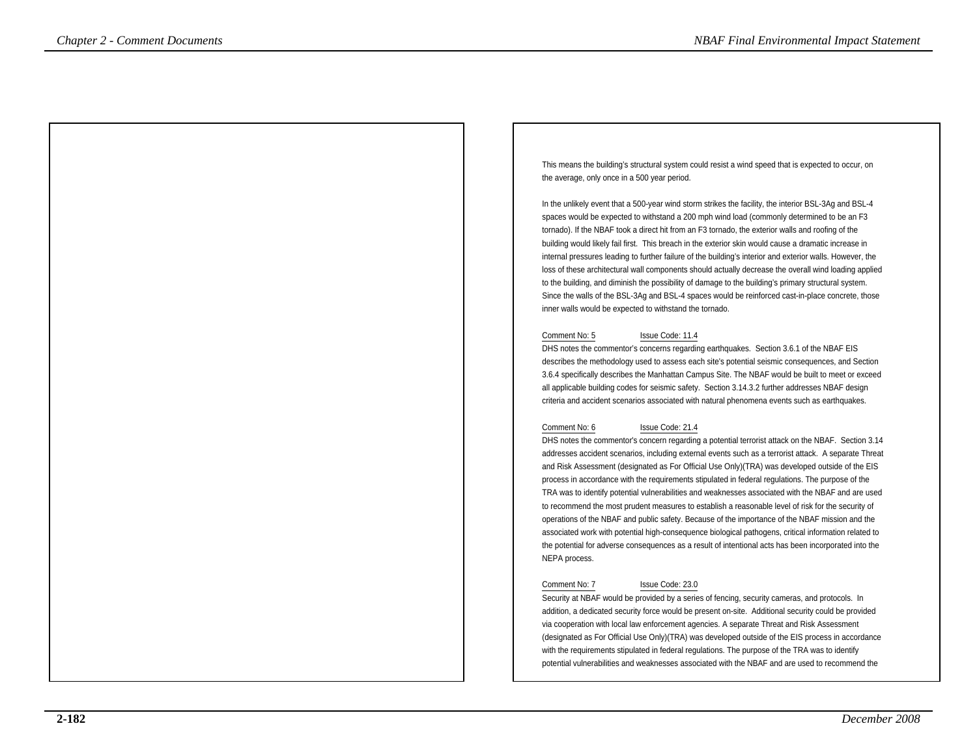This means the building's structural system could resist a wind speed that is expected to occur, onthe average, only once in a 500 year period.

In the unlikely event that a 500-year wind storm strikes the facility, the interior BSL-3Ag and BSL-4 spaces would be expected to withstand a 200 mph wind load (commonly determined to be an F3tornado). If the NBAF took a direct hit from an F3 tornado, the exterior walls and roofing of the building would likely fail first. This breach in the exterior skin would cause a dramatic increase in internal pressures leading to further failure of the building's interior and exterior walls. However, the loss of these architectural wall components should actually decrease the overall wind loading appliedto the building, and diminish the possibility of damage to the building's primary structural system. Since the walls of the BSL-3Ag and BSL-4 spaces would be reinforced cast-in-place concrete, thoseinner walls would be expected to withstand the tornado.

### Comment No: 5 Issue Code: 11.4

 DHS notes the commentor's concerns regarding earthquakes. Section 3.6.1 of the NBAF EIS describes the methodology used to assess each site's potential seismic consequences, and Section 3.6.4 specifically describes the Manhattan Campus Site. The NBAF would be built to meet or exceedall applicable building codes for seismic safety. Section 3.14.3.2 further addresses NBAF designcriteria and accident scenarios associated with natural phenomena events such as earthquakes.

### Comment No: 6 Issue Code: 21.4

 DHS notes the commentor's concern regarding a potential terrorist attack on the NBAF. Section 3.14 addresses accident scenarios, including external events such as a terrorist attack. A separate Threat and Risk Assessment (designated as For Official Use Only)(TRA) was developed outside of the EISprocess in accordance with the requirements stipulated in federal regulations. The purpose of the TRA was to identify potential vulnerabilities and weaknesses associated with the NBAF and are usedto recommend the most prudent measures to establish a reasonable level of risk for the security of operations of the NBAF and public safety. Because of the importance of the NBAF mission and the associated work with potential high-consequence biological pathogens, critical information related to the potential for adverse consequences as a result of intentional acts has been incorporated into theNEPA process.**Chapter 2 - Comments Documents + NBAF Final Environmental International International International International International International International International International International International Internat** 

### Comment No: 7 Issue Code: 23.0

 Security at NBAF would be provided by a series of fencing, security cameras, and protocols. In addition, a dedicated security force would be present on-site. Additional security could be providedvia cooperation with local law enforcement agencies. A separate Threat and Risk Assessment (designated as For Official Use Only)(TRA) was developed outside of the EIS process in accordancewith the requirements stipulated in federal regulations. The purpose of the TRA was to identifypotential vulnerabilities and weaknesses associated with the NBAF and are used to recommend the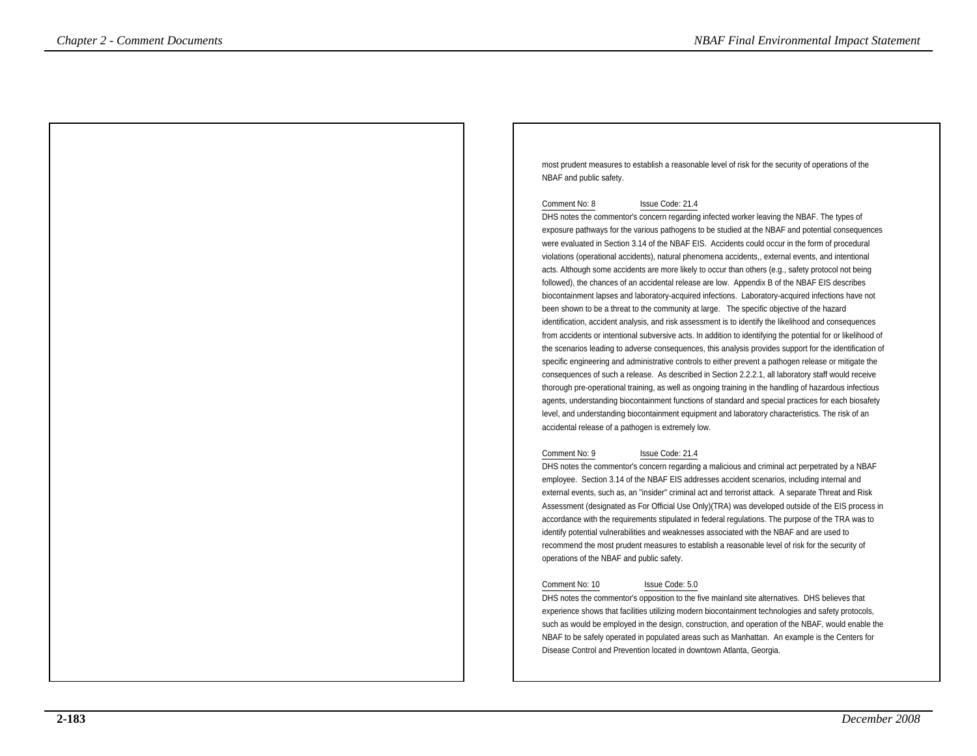most prudent measures to establish a reasonable level of risk for the security of operations of theNBAF and public safety.

### Comment No: 8 Issue Code: 21.4

 DHS notes the commentor's concern regarding infected worker leaving the NBAF. The types of exposure pathways for the various pathogens to be studied at the NBAF and potential consequenceswere evaluated in Section 3.14 of the NBAF EIS. Accidents could occur in the form of proceduralviolations (operational accidents), natural phenomena accidents,, external events, and intentional acts. Although some accidents are more likely to occur than others (e.g., safety protocol not being followed), the chances of an accidental release are low. Appendix B of the NBAF EIS describes biocontainment lapses and laboratory-acquired infections. Laboratory-acquired infections have notbeen shown to be a threat to the community at large. The specific objective of the hazard identification, accident analysis, and risk assessment is to identify the likelihood and consequences from accidents or intentional subversive acts. In addition to identifying the potential for or likelihood of the scenarios leading to adverse consequences, this analysis provides support for the identification ofspecific engineering and administrative controls to either prevent a pathogen release or mitigate the consequences of such a release. As described in Section 2.2.2.1, all laboratory staff would receive thorough pre-operational training, as well as ongoing training in the handling of hazardous infectious agents, understanding biocontainment functions of standard and special practices for each biosafetylevel, and understanding biocontainment equipment and laboratory characteristics. The risk of anaccidental release of a pathogen is extremely low. **Chapter 2 - Comment Documental Impact Statemental Impact Statemental Impact Statemental Impact Statemental Impact Statemental International International International International International International Internatio** 

### Comment No: 9 Issue Code: 21.4

 DHS notes the commentor's concern regarding a malicious and criminal act perpetrated by a NBAFemployee. Section 3.14 of the NBAF EIS addresses accident scenarios, including internal and external events, such as, an "insider" criminal act and terrorist attack. A separate Threat and Risk Assessment (designated as For Official Use Only)(TRA) was developed outside of the EIS process inaccordance with the requirements stipulated in federal regulations. The purpose of the TRA was toidentify potential vulnerabilities and weaknesses associated with the NBAF and are used to recommend the most prudent measures to establish a reasonable level of risk for the security ofoperations of the NBAF and public safety.

### Comment No: 10 Issue Code: 5.0

 DHS notes the commentor's opposition to the five mainland site alternatives. DHS believes that experience shows that facilities utilizing modern biocontainment technologies and safety protocols, such as would be employed in the design, construction, and operation of the NBAF, would enable theNBAF to be safely operated in populated areas such as Manhattan. An example is the Centers forDisease Control and Prevention located in downtown Atlanta, Georgia.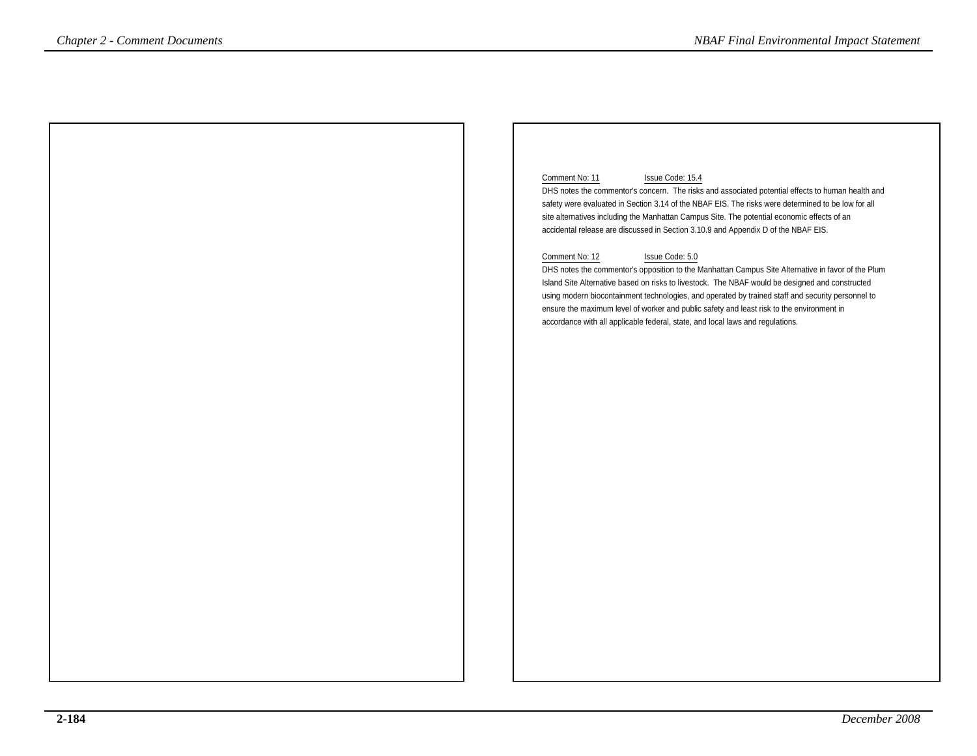### Comment No: 11 Issue Code: 15.4

 DHS notes the commentor's concern. The risks and associated potential effects to human health andsafety were evaluated in Section 3.14 of the NBAF EIS. The risks were determined to be low for allsite alternatives including the Manhattan Campus Site. The potential economic effects of anaccidental release are discussed in Section 3.10.9 and Appendix D of the NBAF EIS.

### Comment No: 12 Issue Code: 5.0

 DHS notes the commentor's opposition to the Manhattan Campus Site Alternative in favor of the PlumIsland Site Alternative based on risks to livestock. The NBAF would be designed and constructed using modern biocontainment technologies, and operated by trained staff and security personnel toensure the maximum level of worker and public safety and least risk to the environment inaccordance with all applicable federal, state, and local laws and regulations.*NBAF Final Environmental Impact Statement*<br>
Comment No. 11<br>
DHS note the commenta's coronal The Chapter of the Secondary of the Secondary and Secondary and Secondary and Secondary and Secondary and Secondary and Secondar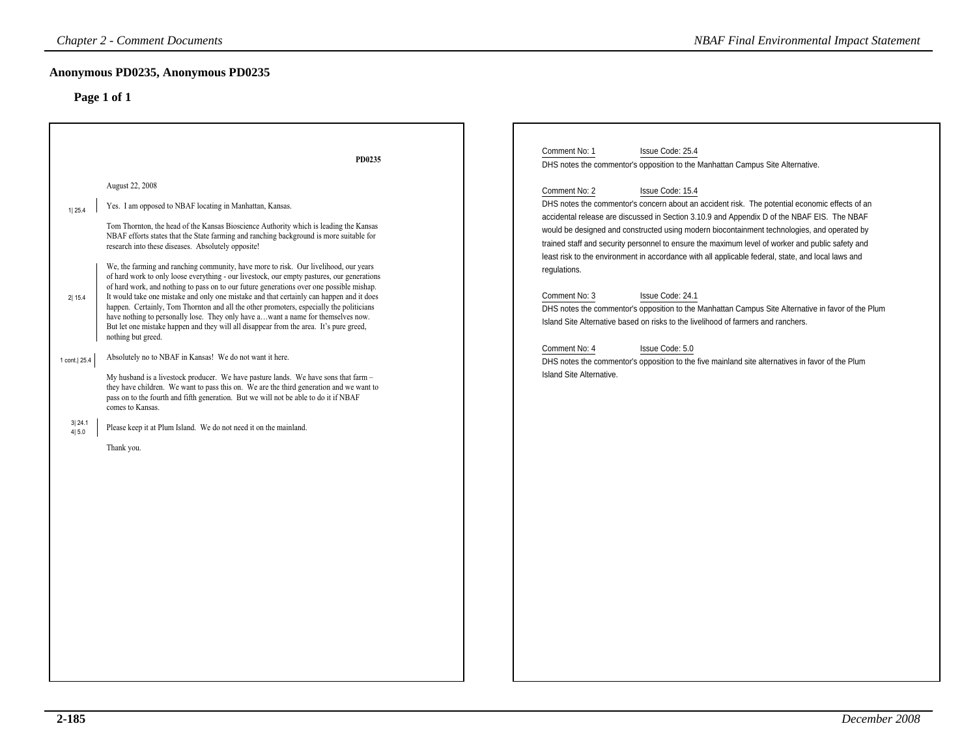| <b>Chapter 2 - Comment Documents</b><br><b>NBAF Final Environmental Impact Statement</b> |                                                                                                                                                                                                                                                                                                                                                                                                                                                                                                                                                                                                                                                                           |                                                                                                                                                                                                                                                                                                                                                                                                                                                                                                                                                                                                                                                                    |  |
|------------------------------------------------------------------------------------------|---------------------------------------------------------------------------------------------------------------------------------------------------------------------------------------------------------------------------------------------------------------------------------------------------------------------------------------------------------------------------------------------------------------------------------------------------------------------------------------------------------------------------------------------------------------------------------------------------------------------------------------------------------------------------|--------------------------------------------------------------------------------------------------------------------------------------------------------------------------------------------------------------------------------------------------------------------------------------------------------------------------------------------------------------------------------------------------------------------------------------------------------------------------------------------------------------------------------------------------------------------------------------------------------------------------------------------------------------------|--|
|                                                                                          | Anonymous PD0235, Anonymous PD0235<br>Page 1 of 1                                                                                                                                                                                                                                                                                                                                                                                                                                                                                                                                                                                                                         |                                                                                                                                                                                                                                                                                                                                                                                                                                                                                                                                                                                                                                                                    |  |
| 1 25.4                                                                                   | PD0235<br>August 22, 2008<br>Yes. I am opposed to NBAF locating in Manhattan, Kansas.<br>Tom Thornton, the head of the Kansas Bioscience Authority which is leading the Kansas<br>NBAF efforts states that the State farming and ranching background is more suitable for<br>research into these diseases. Absolutely opposite!                                                                                                                                                                                                                                                                                                                                           | Comment No: 1<br>Issue Code: 25.4<br>DHS notes the commentor's opposition to the Manhattan Campus Site Alternative.<br>Comment No: 2<br>Issue Code: 15.4<br>DHS notes the commentor's concern about an accident risk. The potential economic effects of an<br>accidental release are discussed in Section 3.10.9 and Appendix D of the NBAF EIS. The NBAF<br>would be designed and constructed using modern biocontainment technologies, and operated by<br>trained staff and security personnel to ensure the maximum level of worker and public safety and<br>least risk to the environment in accordance with all applicable federal, state, and local laws and |  |
| 2 15.4                                                                                   | We, the farming and ranching community, have more to risk. Our livelihood, our years<br>of hard work to only loose everything - our livestock, our empty pastures, our generations<br>of hard work, and nothing to pass on to our future generations over one possible mishap.<br>It would take one mistake and only one mistake and that certainly can happen and it does<br>happen. Certainly, Tom Thornton and all the other promoters, especially the politicians<br>have nothing to personally lose. They only have awant a name for themselves now.<br>But let one mistake happen and they will all disappear from the area. It's pure greed,<br>nothing but greed. | regulations.<br>Comment No: 3<br>Issue Code: 24.1<br>DHS notes the commentor's opposition to the Manhattan Campus Site Alternative in favor of the Plum<br>Island Site Alternative based on risks to the livelihood of farmers and ranchers.<br>Issue Code: 5.0<br>Comment No: 4                                                                                                                                                                                                                                                                                                                                                                                   |  |
| 1 cont. 25.4                                                                             | Absolutely no to NBAF in Kansas! We do not want it here.<br>My husband is a livestock producer. We have pasture lands. We have sons that farm -<br>they have children. We want to pass this on. We are the third generation and we want to<br>pass on to the fourth and fifth generation. But we will not be able to do it if NBAF<br>comes to Kansas.                                                                                                                                                                                                                                                                                                                    | DHS notes the commentor's opposition to the five mainland site alternatives in favor of the Plum<br>Island Site Alternative.                                                                                                                                                                                                                                                                                                                                                                                                                                                                                                                                       |  |
| 3 24.1<br>4 5.0                                                                          | Please keep it at Plum Island. We do not need it on the mainland.<br>Thank you.                                                                                                                                                                                                                                                                                                                                                                                                                                                                                                                                                                                           |                                                                                                                                                                                                                                                                                                                                                                                                                                                                                                                                                                                                                                                                    |  |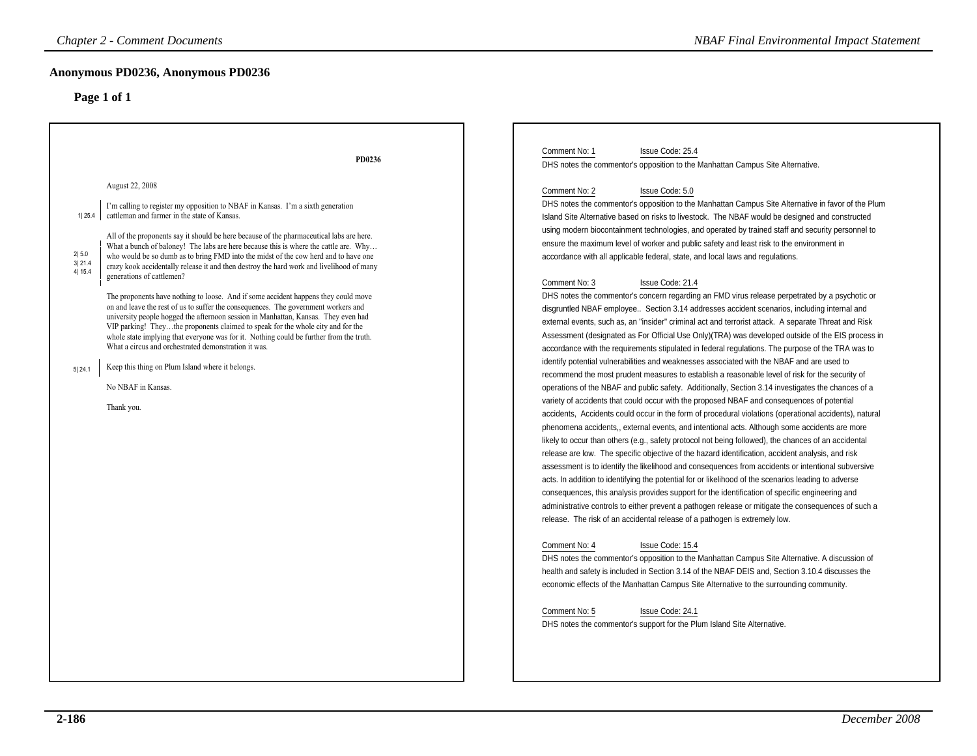|                                               | <b>Chapter 2 - Comment Documents</b>                                                                                                                                                                                                                                                                                                                                                                                                                                                                                                                                                                                                                                                                                                                                                                                                                                                                                                                                                                                                                                                                                                                             | <b>NBAF Final Environmental Impact Statement</b>                                                                                                                                                                                                                                                                                                                                                                                                                                                                                                                                                                                                                                                                                                                                                                                                                                                                                                                                                                                                                                                                                                                                                                                                                                                                                                                                                                                                                                                                                                                                                                                                                                                                                                                                                                                                                                                                                                                                                                                                                                                                                                                                                                                                                                                                                                                                                                                                                                                                                                                                                                                                                                                                                                                                                                                                                                                                                                                                                       |  |
|-----------------------------------------------|------------------------------------------------------------------------------------------------------------------------------------------------------------------------------------------------------------------------------------------------------------------------------------------------------------------------------------------------------------------------------------------------------------------------------------------------------------------------------------------------------------------------------------------------------------------------------------------------------------------------------------------------------------------------------------------------------------------------------------------------------------------------------------------------------------------------------------------------------------------------------------------------------------------------------------------------------------------------------------------------------------------------------------------------------------------------------------------------------------------------------------------------------------------|--------------------------------------------------------------------------------------------------------------------------------------------------------------------------------------------------------------------------------------------------------------------------------------------------------------------------------------------------------------------------------------------------------------------------------------------------------------------------------------------------------------------------------------------------------------------------------------------------------------------------------------------------------------------------------------------------------------------------------------------------------------------------------------------------------------------------------------------------------------------------------------------------------------------------------------------------------------------------------------------------------------------------------------------------------------------------------------------------------------------------------------------------------------------------------------------------------------------------------------------------------------------------------------------------------------------------------------------------------------------------------------------------------------------------------------------------------------------------------------------------------------------------------------------------------------------------------------------------------------------------------------------------------------------------------------------------------------------------------------------------------------------------------------------------------------------------------------------------------------------------------------------------------------------------------------------------------------------------------------------------------------------------------------------------------------------------------------------------------------------------------------------------------------------------------------------------------------------------------------------------------------------------------------------------------------------------------------------------------------------------------------------------------------------------------------------------------------------------------------------------------------------------------------------------------------------------------------------------------------------------------------------------------------------------------------------------------------------------------------------------------------------------------------------------------------------------------------------------------------------------------------------------------------------------------------------------------------------------------------------------------|--|
|                                               | Anonymous PD0236, Anonymous PD0236<br>Page 1 of 1                                                                                                                                                                                                                                                                                                                                                                                                                                                                                                                                                                                                                                                                                                                                                                                                                                                                                                                                                                                                                                                                                                                |                                                                                                                                                                                                                                                                                                                                                                                                                                                                                                                                                                                                                                                                                                                                                                                                                                                                                                                                                                                                                                                                                                                                                                                                                                                                                                                                                                                                                                                                                                                                                                                                                                                                                                                                                                                                                                                                                                                                                                                                                                                                                                                                                                                                                                                                                                                                                                                                                                                                                                                                                                                                                                                                                                                                                                                                                                                                                                                                                                                                        |  |
| 1 25.4<br>2 5.0<br>3 21.4<br>4 15.4<br>5 24.1 | PD0236<br>August 22, 2008<br>I'm calling to register my opposition to NBAF in Kansas. I'm a sixth generation<br>cattleman and farmer in the state of Kansas.<br>All of the proponents say it should be here because of the pharmaceutical labs are here.<br>What a bunch of baloney! The labs are here because this is where the cattle are. Why<br>who would be so dumb as to bring FMD into the midst of the cow herd and to have one<br>crazy kook accidentally release it and then destroy the hard work and livelihood of many<br>generations of cattlemen?<br>The proponents have nothing to loose. And if some accident happens they could move<br>on and leave the rest of us to suffer the consequences. The government workers and<br>university people hogged the afternoon session in Manhattan, Kansas. They even had<br>VIP parking! Theythe proponents claimed to speak for the whole city and for the<br>whole state implying that everyone was for it. Nothing could be further from the truth.<br>What a circus and orchestrated demonstration it was.<br>Keep this thing on Plum Island where it belongs.<br>No NBAF in Kansas.<br>Thank you. | Comment No: 1<br>Issue Code: 25.4<br>DHS notes the commentor's opposition to the Manhattan Campus Site Alternative.<br>Comment No: 2<br>Issue Code: 5.0<br>DHS notes the commentor's opposition to the Manhattan Campus Site Alternative in favor of the Plum<br>Island Site Alternative based on risks to livestock. The NBAF would be designed and constructed<br>using modern biocontainment technologies, and operated by trained staff and security personnel to<br>ensure the maximum level of worker and public safety and least risk to the environment in<br>accordance with all applicable federal, state, and local laws and regulations.<br>Comment No: 3<br>Issue Code: 21.4<br>DHS notes the commentor's concern regarding an FMD virus release perpetrated by a psychotic or<br>disgruntled NBAF employee Section 3.14 addresses accident scenarios, including internal and<br>external events, such as, an "insider" criminal act and terrorist attack. A separate Threat and Risk<br>Assessment (designated as For Official Use Only) (TRA) was developed outside of the EIS process in<br>accordance with the requirements stipulated in federal regulations. The purpose of the TRA was to<br>identify potential vulnerabilities and weaknesses associated with the NBAF and are used to<br>recommend the most prudent measures to establish a reasonable level of risk for the security of<br>operations of the NBAF and public safety. Additionally, Section 3.14 investigates the chances of a<br>variety of accidents that could occur with the proposed NBAF and consequences of potential<br>accidents, Accidents could occur in the form of procedural violations (operational accidents), natural<br>phenomena accidents,, external events, and intentional acts. Although some accidents are more<br>likely to occur than others (e.g., safety protocol not being followed), the chances of an accidental<br>release are low. The specific objective of the hazard identification, accident analysis, and risk<br>assessment is to identify the likelihood and consequences from accidents or intentional subversive<br>acts. In addition to identifying the potential for or likelihood of the scenarios leading to adverse<br>consequences, this analysis provides support for the identification of specific engineering and<br>administrative controls to either prevent a pathogen release or mitigate the consequences of such a<br>release. The risk of an accidental release of a pathogen is extremely low.<br>Comment No: 4<br>Issue Code: 15.4<br>DHS notes the commentor's opposition to the Manhattan Campus Site Alternative. A discussion of<br>health and safety is included in Section 3.14 of the NBAF DEIS and, Section 3.10.4 discusses the<br>economic effects of the Manhattan Campus Site Alternative to the surrounding community.<br>Comment No: 5<br>Issue Code: 24.1<br>DHS notes the commentor's support for the Plum Island Site Alternative. |  |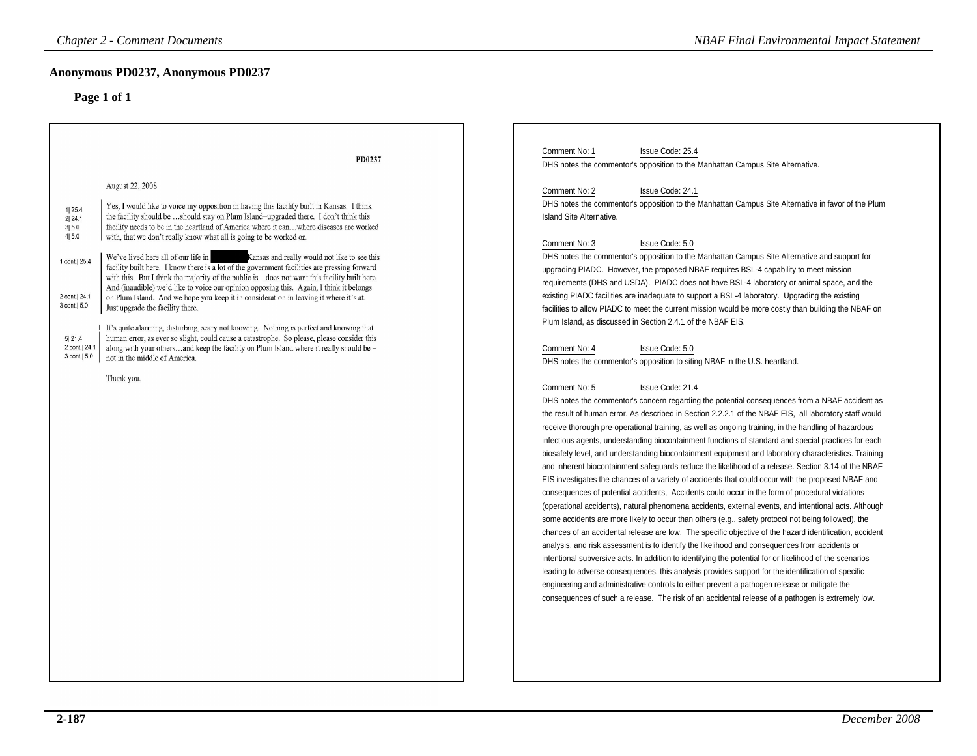### **Anonymous PD0237, Anonymous PD0237**

| <b>Chapter 2 - Comment Documents</b>                                                                                                                                                                                                                                                                                                                |                                                                                                                                                                                                                                                                                                                                                                                                                                                                                                                                                                                                                                                                                                                                                                                                                                                                                                                                                                                                             | <b>NBAF Final Environmental Impact Statement</b>                                                                                                                                                                                                                                                                                                                                                                                                                                                                                                                                                                                                                                                                                                                                                                                                                                                                                                                                                                                                                                                                                                                                                                                                                                                                                                                                                                                                                                                                                                                                                                                                                                                                                                                                                                                                                                                                                                                                                                                                                                                                                                                                                                                                                                                                                                                                                                                                                                                                                                                                                                                                                                                                                                                      |
|-----------------------------------------------------------------------------------------------------------------------------------------------------------------------------------------------------------------------------------------------------------------------------------------------------------------------------------------------------|-------------------------------------------------------------------------------------------------------------------------------------------------------------------------------------------------------------------------------------------------------------------------------------------------------------------------------------------------------------------------------------------------------------------------------------------------------------------------------------------------------------------------------------------------------------------------------------------------------------------------------------------------------------------------------------------------------------------------------------------------------------------------------------------------------------------------------------------------------------------------------------------------------------------------------------------------------------------------------------------------------------|-----------------------------------------------------------------------------------------------------------------------------------------------------------------------------------------------------------------------------------------------------------------------------------------------------------------------------------------------------------------------------------------------------------------------------------------------------------------------------------------------------------------------------------------------------------------------------------------------------------------------------------------------------------------------------------------------------------------------------------------------------------------------------------------------------------------------------------------------------------------------------------------------------------------------------------------------------------------------------------------------------------------------------------------------------------------------------------------------------------------------------------------------------------------------------------------------------------------------------------------------------------------------------------------------------------------------------------------------------------------------------------------------------------------------------------------------------------------------------------------------------------------------------------------------------------------------------------------------------------------------------------------------------------------------------------------------------------------------------------------------------------------------------------------------------------------------------------------------------------------------------------------------------------------------------------------------------------------------------------------------------------------------------------------------------------------------------------------------------------------------------------------------------------------------------------------------------------------------------------------------------------------------------------------------------------------------------------------------------------------------------------------------------------------------------------------------------------------------------------------------------------------------------------------------------------------------------------------------------------------------------------------------------------------------------------------------------------------------------------------------------------------------|
| Anonymous PD0237, Anonymous PD0237<br>Page 1 of 1                                                                                                                                                                                                                                                                                                   |                                                                                                                                                                                                                                                                                                                                                                                                                                                                                                                                                                                                                                                                                                                                                                                                                                                                                                                                                                                                             |                                                                                                                                                                                                                                                                                                                                                                                                                                                                                                                                                                                                                                                                                                                                                                                                                                                                                                                                                                                                                                                                                                                                                                                                                                                                                                                                                                                                                                                                                                                                                                                                                                                                                                                                                                                                                                                                                                                                                                                                                                                                                                                                                                                                                                                                                                                                                                                                                                                                                                                                                                                                                                                                                                                                                                       |
| August 22, 2008<br>1  25.4<br>2 24.1<br>3 5.0<br>4 5.0<br>with, that we don't really know what all is going to be worked on.<br>We've lived here all of our life in<br>1 cont. 25.4<br>2 cont.  24.1<br>3 cont.   5.0<br>Just upgrade the facility there.<br>5 21.4<br>2 cont. 24.1<br>3 cont.   5.0<br>not in the middle of America.<br>Thank you. | PD0237<br>Yes, I would like to voice my opposition in having this facility built in Kansas. I think<br>the facility should be should stay on Plum Island-upgraded there. I don't think this<br>facility needs to be in the heartland of America where it canwhere diseases are worked<br>Kansas and really would not like to see this<br>facility built here. I know there is a lot of the government facilities are pressing forward<br>with this. But I think the majority of the public isdoes not want this facility built here.<br>And (inaudible) we'd like to voice our opinion opposing this. Again, I think it belongs<br>on Plum Island. And we hope you keep it in consideration in leaving it where it's at.<br>It's quite alarming, disturbing, scary not knowing. Nothing is perfect and knowing that<br>human error, as ever so slight, could cause a catastrophe. So please, please consider this<br>along with your othersand keep the facility on Plum Island where it really should be - | Comment No: 1<br>Issue Code: 25.4<br>DHS notes the commentor's opposition to the Manhattan Campus Site Alternative.<br>Comment No: 2<br>Issue Code: 24.1<br>DHS notes the commentor's opposition to the Manhattan Campus Site Alternative in favor of the Plum<br><b>Island Site Alternative.</b><br>Comment No: 3<br>Issue Code: 5.0<br>DHS notes the commentor's opposition to the Manhattan Campus Site Alternative and support for<br>upgrading PIADC. However, the proposed NBAF requires BSL-4 capability to meet mission<br>requirements (DHS and USDA). PIADC does not have BSL-4 laboratory or animal space, and the<br>existing PIADC facilities are inadequate to support a BSL-4 laboratory. Upgrading the existing<br>facilities to allow PIADC to meet the current mission would be more costly than building the NBAF on<br>Plum Island, as discussed in Section 2.4.1 of the NBAF EIS.<br>Comment No: 4<br>Issue Code: 5.0<br>DHS notes the commentor's opposition to siting NBAF in the U.S. heartland.<br>Comment No: 5<br>Issue Code: 21.4<br>DHS notes the commentor's concern regarding the potential consequences from a NBAF accident as<br>the result of human error. As described in Section 2.2.2.1 of the NBAF EIS, all laboratory staff would<br>receive thorough pre-operational training, as well as ongoing training, in the handling of hazardous<br>infectious agents, understanding biocontainment functions of standard and special practices for each<br>biosafety level, and understanding biocontainment equipment and laboratory characteristics. Training<br>and inherent biocontainment safeguards reduce the likelihood of a release. Section 3.14 of the NBAF<br>EIS investigates the chances of a variety of accidents that could occur with the proposed NBAF and<br>consequences of potential accidents, Accidents could occur in the form of procedural violations<br>(operational accidents), natural phenomena accidents, external events, and intentional acts. Although<br>some accidents are more likely to occur than others (e.g., safety protocol not being followed), the<br>chances of an accidental release are low. The specific objective of the hazard identification, accident<br>analysis, and risk assessment is to identify the likelihood and consequences from accidents or<br>intentional subversive acts. In addition to identifying the potential for or likelihood of the scenarios<br>leading to adverse consequences, this analysis provides support for the identification of specific<br>engineering and administrative controls to either prevent a pathogen release or mitigate the<br>consequences of such a release. The risk of an accidental release of a pathogen is extremely low. |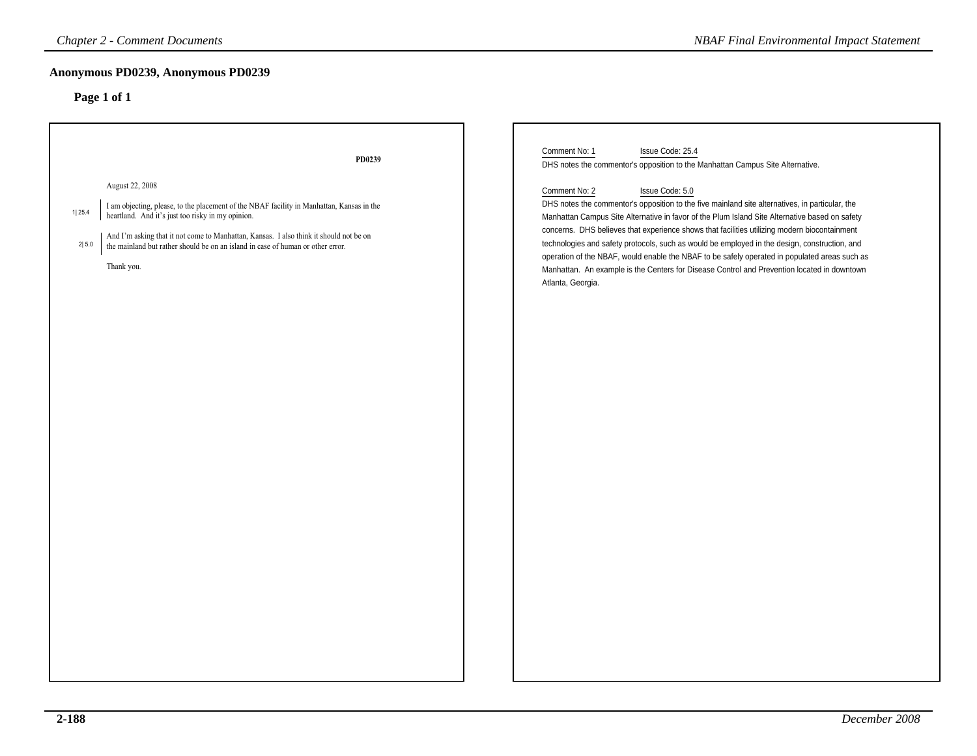| <b>Chapter 2 - Comment Documents</b>                                                                                                                                                                                                                                                                                                                                                | <b>NBAF Final Environmental Impact Statement</b>                                                                                                                                                                                                                                                                                                                                                                                                                                                                                                                                                                                                            |  |
|-------------------------------------------------------------------------------------------------------------------------------------------------------------------------------------------------------------------------------------------------------------------------------------------------------------------------------------------------------------------------------------|-------------------------------------------------------------------------------------------------------------------------------------------------------------------------------------------------------------------------------------------------------------------------------------------------------------------------------------------------------------------------------------------------------------------------------------------------------------------------------------------------------------------------------------------------------------------------------------------------------------------------------------------------------------|--|
| Anonymous PD0239, Anonymous PD0239<br>Page 1 of 1                                                                                                                                                                                                                                                                                                                                   |                                                                                                                                                                                                                                                                                                                                                                                                                                                                                                                                                                                                                                                             |  |
|                                                                                                                                                                                                                                                                                                                                                                                     |                                                                                                                                                                                                                                                                                                                                                                                                                                                                                                                                                                                                                                                             |  |
| PD0239                                                                                                                                                                                                                                                                                                                                                                              | Comment No: 1<br>Issue Code: 25.4<br>DHS notes the commentor's opposition to the Manhattan Campus Site Alternative.                                                                                                                                                                                                                                                                                                                                                                                                                                                                                                                                         |  |
| August 22, 2008<br>I am objecting, please, to the placement of the NBAF facility in Manhattan, Kansas in the<br>1 25.4<br>heartland. And it's just too risky in my opinion.<br>And $\Gamma$ m asking that it not come to Manhattan, Kansas. I also think it should not be on the mainland but rather should be on an island in case of human or other error.<br>2 5.0<br>Thank you. | Comment No: 2<br>Issue Code: 5.0<br>DHS notes the commentor's opposition to the five mainland site alternatives, in particular, the<br>Manhattan Campus Site Alternative in favor of the Plum Island Site Alternative based on safety<br>concerns. DHS believes that experience shows that facilities utilizing modern biocontainment<br>technologies and safety protocols, such as would be employed in the design, construction, and<br>operation of the NBAF, would enable the NBAF to be safely operated in populated areas such as<br>Manhattan. An example is the Centers for Disease Control and Prevention located in downtown<br>Atlanta, Georgia. |  |
|                                                                                                                                                                                                                                                                                                                                                                                     |                                                                                                                                                                                                                                                                                                                                                                                                                                                                                                                                                                                                                                                             |  |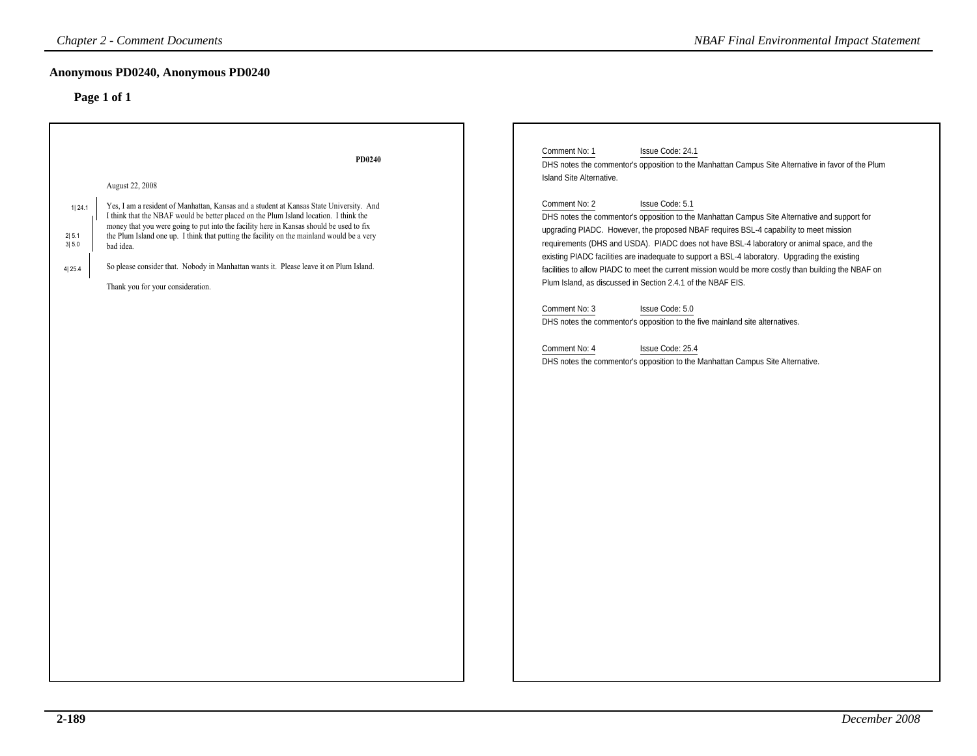# **Anonymous PD0240, Anonymous PD0240**

| <b>Chapter 2 - Comment Documents</b>                                                                                                                                                                                                                                                                                                                                                                                                                                                                                                                                                    | <b>NBAF Final Environmental Impact Statement</b>                                                                                                                                                                                                                                                                                                                                                                                                                                                                                                                                                                                                                                                                                                                                                                                                                                                                                                                                                                    |
|-----------------------------------------------------------------------------------------------------------------------------------------------------------------------------------------------------------------------------------------------------------------------------------------------------------------------------------------------------------------------------------------------------------------------------------------------------------------------------------------------------------------------------------------------------------------------------------------|---------------------------------------------------------------------------------------------------------------------------------------------------------------------------------------------------------------------------------------------------------------------------------------------------------------------------------------------------------------------------------------------------------------------------------------------------------------------------------------------------------------------------------------------------------------------------------------------------------------------------------------------------------------------------------------------------------------------------------------------------------------------------------------------------------------------------------------------------------------------------------------------------------------------------------------------------------------------------------------------------------------------|
| Anonymous PD0240, Anonymous PD0240<br>Page 1 of 1                                                                                                                                                                                                                                                                                                                                                                                                                                                                                                                                       |                                                                                                                                                                                                                                                                                                                                                                                                                                                                                                                                                                                                                                                                                                                                                                                                                                                                                                                                                                                                                     |
| PD0240<br>August 22, 2008<br>Yes, I am a resident of Manhattan, Kansas and a student at Kansas State University. And<br>1 24.1<br>I think that the NBAF would be better placed on the Plum Island location. I think the<br>money that you were going to put into the facility here in Kansas should be used to fix<br>2 5.1<br>the Plum Island one up. I think that putting the facility on the mainland would be a very<br>3 5.0<br>bad idea.<br>So please consider that. Nobody in Manhattan wants it. Please leave it on Plum Island.<br>4 25.4<br>Thank you for your consideration. | Comment No: 1<br>Issue Code: 24.1<br>DHS notes the commentor's opposition to the Manhattan Campus Site Alternative in favor of the Plum<br>Island Site Alternative.<br>Comment No: 2<br>Issue Code: 5.1<br>DHS notes the commentor's opposition to the Manhattan Campus Site Alternative and support for<br>upgrading PIADC. However, the proposed NBAF requires BSL-4 capability to meet mission<br>requirements (DHS and USDA). PIADC does not have BSL-4 laboratory or animal space, and the<br>existing PIADC facilities are inadequate to support a BSL-4 laboratory. Upgrading the existing<br>facilities to allow PIADC to meet the current mission would be more costly than building the NBAF on<br>Plum Island, as discussed in Section 2.4.1 of the NBAF EIS.<br>Comment No: 3<br>Issue Code: 5.0<br>DHS notes the commentor's opposition to the five mainland site alternatives.<br>Comment No: 4<br>Issue Code: 25.4<br>DHS notes the commentor's opposition to the Manhattan Campus Site Alternative. |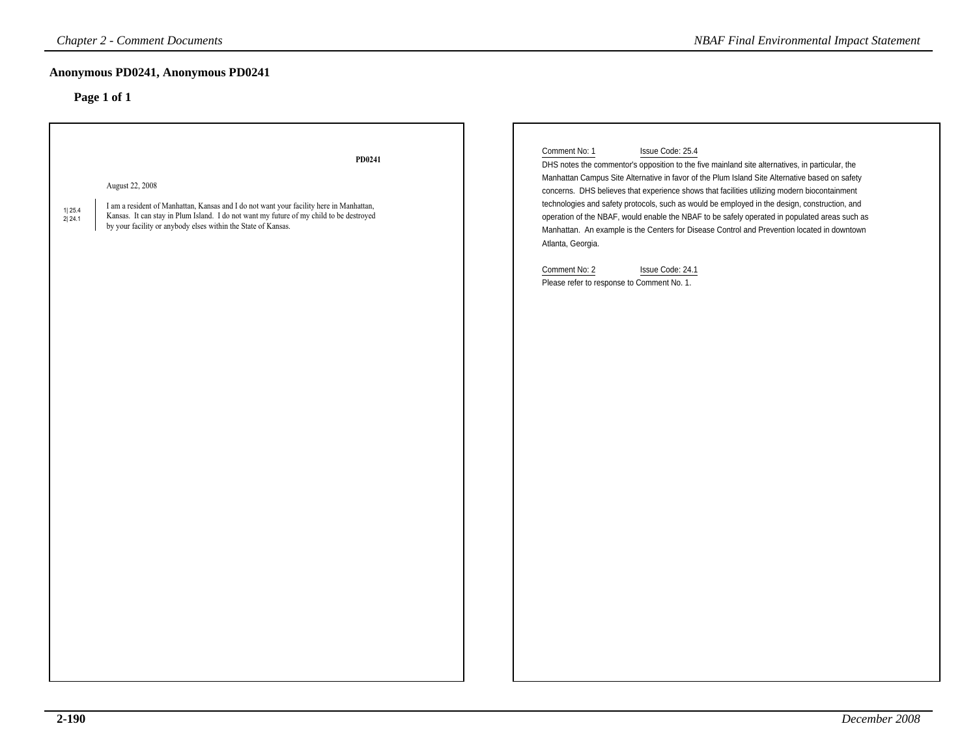## **Anonymous PD0241, Anonymous PD0241**

| <b>Chapter 2 - Comment Documents</b>                                                                                                                                                                                                                                                                 | <b>NBAF Final Environmental Impact Statement</b>                                                                                                                                                                                                                                                                                                                                                                                                                                                                                                                                                                                                                                                                                                |  |
|------------------------------------------------------------------------------------------------------------------------------------------------------------------------------------------------------------------------------------------------------------------------------------------------------|-------------------------------------------------------------------------------------------------------------------------------------------------------------------------------------------------------------------------------------------------------------------------------------------------------------------------------------------------------------------------------------------------------------------------------------------------------------------------------------------------------------------------------------------------------------------------------------------------------------------------------------------------------------------------------------------------------------------------------------------------|--|
| Anonymous PD0241, Anonymous PD0241                                                                                                                                                                                                                                                                   |                                                                                                                                                                                                                                                                                                                                                                                                                                                                                                                                                                                                                                                                                                                                                 |  |
| Page 1 of 1                                                                                                                                                                                                                                                                                          |                                                                                                                                                                                                                                                                                                                                                                                                                                                                                                                                                                                                                                                                                                                                                 |  |
| PD0241<br>August 22, 2008<br>I am a resident of Manhattan, Kansas and I do not want your facility here in Manhattan,<br>1 25.4<br>Kansas. It can stay in Plum Island. I do not want my future of my child to be destroyed<br>2 24.1<br>by your facility or anybody elses within the State of Kansas. | Comment No: 1<br>Issue Code: 25.4<br>DHS notes the commentor's opposition to the five mainland site alternatives, in particular, the<br>Manhattan Campus Site Alternative in favor of the Plum Island Site Alternative based on safety<br>concerns. DHS believes that experience shows that facilities utilizing modern biocontainment<br>technologies and safety protocols, such as would be employed in the design, construction, and<br>operation of the NBAF, would enable the NBAF to be safely operated in populated areas such as<br>Manhattan. An example is the Centers for Disease Control and Prevention located in downtown<br>Atlanta, Georgia.<br>Issue Code: 24.1<br>Comment No: 2<br>Please refer to response to Comment No. 1. |  |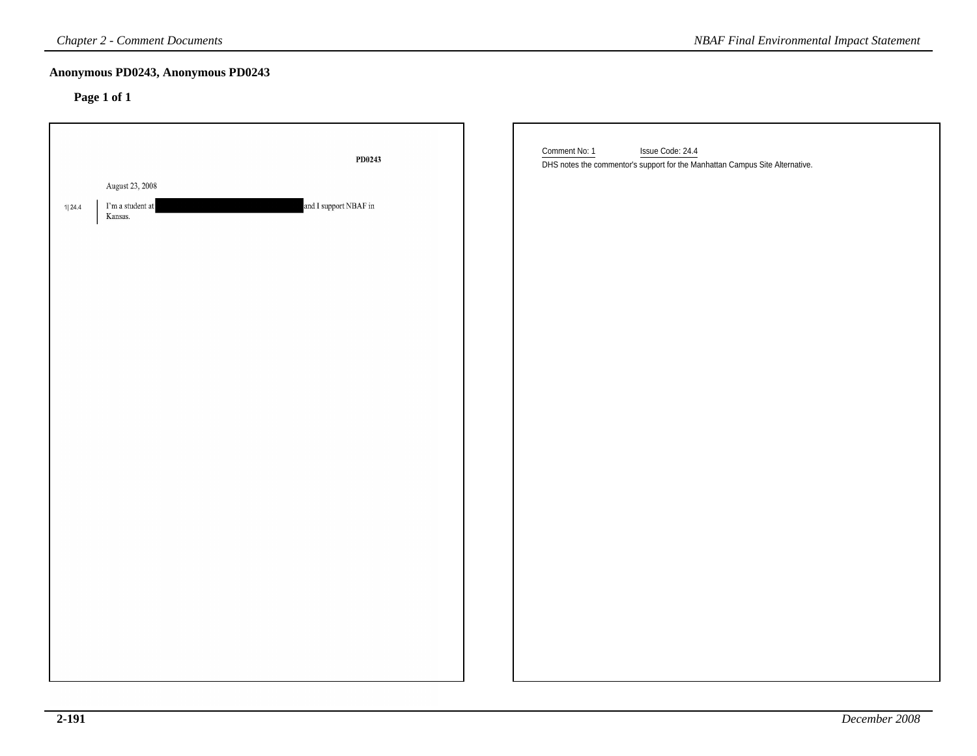### **Anonymous PD0243, Anonymous PD0243**

| <b>Chapter 2 - Comment Documents</b>                             |                       | <b>NBAF Final Environmental Impact Statement</b>                                                                  |
|------------------------------------------------------------------|-----------------------|-------------------------------------------------------------------------------------------------------------------|
| Anonymous PD0243, Anonymous PD0243<br>Page 1 of 1                |                       |                                                                                                                   |
|                                                                  | PD0243                | Comment No: 1<br>Issue Code: 24.4<br>DHS notes the commentor's support for the Manhattan Campus Site Alternative. |
| August 23, 2008<br>$\Gamma$ m a student at<br>1  24.4<br>Kansas. | and I support NBAF in |                                                                                                                   |
|                                                                  |                       |                                                                                                                   |
|                                                                  |                       |                                                                                                                   |
|                                                                  |                       |                                                                                                                   |
|                                                                  |                       |                                                                                                                   |
|                                                                  |                       |                                                                                                                   |
|                                                                  |                       |                                                                                                                   |
|                                                                  |                       |                                                                                                                   |
|                                                                  |                       |                                                                                                                   |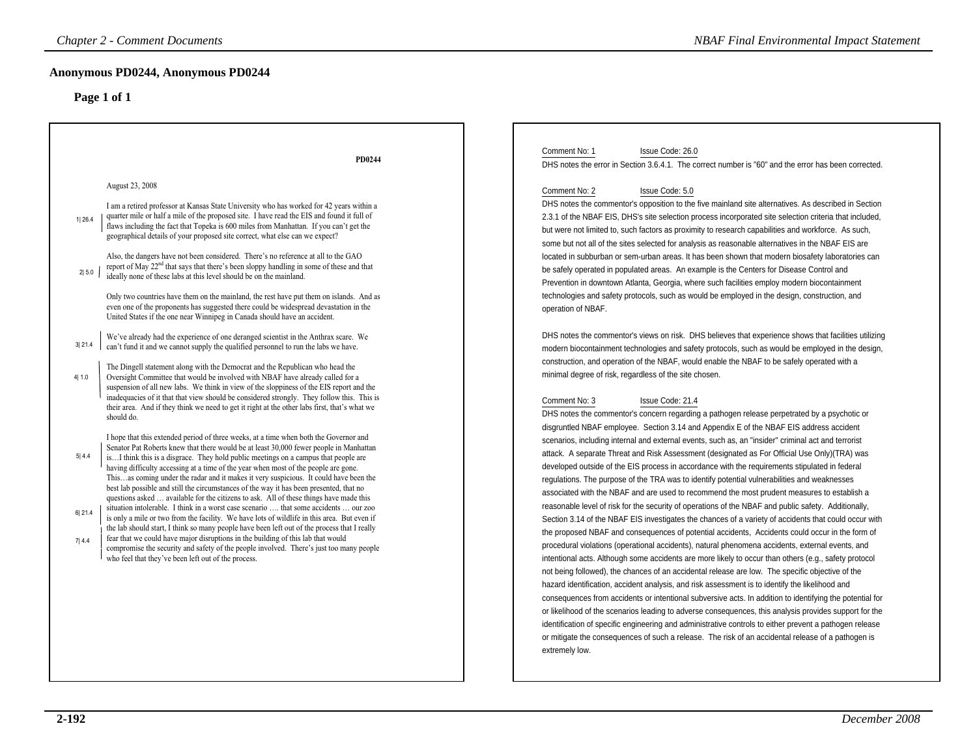| <b>NBAF Final Environmental Impact Statement</b>                                                                                                                                                                                                                                                                                                                                                                                                                                                                                                                                                                                                                                                                                                                                                                                                                                                                                                                                                                                                                                                                                                                                                                                                                                                                                                                                                                                                                                                                                                                                                                                                                                                                                                                                                                                                                                                                                                                                                                                                                                                                                                                                                                                                                                                                                                                                                                                                                                                                                                                                                                                                                                                                                                                                                                                                                                                                                                                                                                                                                                                                                                                                                                                                          |
|-----------------------------------------------------------------------------------------------------------------------------------------------------------------------------------------------------------------------------------------------------------------------------------------------------------------------------------------------------------------------------------------------------------------------------------------------------------------------------------------------------------------------------------------------------------------------------------------------------------------------------------------------------------------------------------------------------------------------------------------------------------------------------------------------------------------------------------------------------------------------------------------------------------------------------------------------------------------------------------------------------------------------------------------------------------------------------------------------------------------------------------------------------------------------------------------------------------------------------------------------------------------------------------------------------------------------------------------------------------------------------------------------------------------------------------------------------------------------------------------------------------------------------------------------------------------------------------------------------------------------------------------------------------------------------------------------------------------------------------------------------------------------------------------------------------------------------------------------------------------------------------------------------------------------------------------------------------------------------------------------------------------------------------------------------------------------------------------------------------------------------------------------------------------------------------------------------------------------------------------------------------------------------------------------------------------------------------------------------------------------------------------------------------------------------------------------------------------------------------------------------------------------------------------------------------------------------------------------------------------------------------------------------------------------------------------------------------------------------------------------------------------------------------------------------------------------------------------------------------------------------------------------------------------------------------------------------------------------------------------------------------------------------------------------------------------------------------------------------------------------------------------------------------------------------------------------------------------------------------------------------------|
|                                                                                                                                                                                                                                                                                                                                                                                                                                                                                                                                                                                                                                                                                                                                                                                                                                                                                                                                                                                                                                                                                                                                                                                                                                                                                                                                                                                                                                                                                                                                                                                                                                                                                                                                                                                                                                                                                                                                                                                                                                                                                                                                                                                                                                                                                                                                                                                                                                                                                                                                                                                                                                                                                                                                                                                                                                                                                                                                                                                                                                                                                                                                                                                                                                                           |
| Issue Code: 26.0<br>DHS notes the error in Section 3.6.4.1. The correct number is "60" and the error has been corrected.<br>Issue Code: 5.0<br>DHS notes the commentor's opposition to the five mainland site alternatives. As described in Section<br>2.3.1 of the NBAF EIS, DHS's site selection process incorporated site selection criteria that included,<br>but were not limited to, such factors as proximity to research capabilities and workforce. As such,<br>some but not all of the sites selected for analysis as reasonable alternatives in the NBAF EIS are<br>located in subburban or sem-urban areas. It has been shown that modern biosafety laboratories can<br>be safely operated in populated areas. An example is the Centers for Disease Control and<br>Prevention in downtown Atlanta, Georgia, where such facilities employ modern biocontainment<br>technologies and safety protocols, such as would be employed in the design, construction, and<br>DHS notes the commentor's views on risk. DHS believes that experience shows that facilities utilizing<br>modern biocontainment technologies and safety protocols, such as would be employed in the design,<br>construction, and operation of the NBAF, would enable the NBAF to be safely operated with a<br>minimal degree of risk, regardless of the site chosen.<br>Issue Code: 21.4<br>DHS notes the commentor's concern regarding a pathogen release perpetrated by a psychotic or<br>disgruntled NBAF employee. Section 3.14 and Appendix E of the NBAF EIS address accident<br>scenarios, including internal and external events, such as, an "insider" criminal act and terrorist<br>attack. A separate Threat and Risk Assessment (designated as For Official Use Only)(TRA) was<br>developed outside of the EIS process in accordance with the requirements stipulated in federal<br>regulations. The purpose of the TRA was to identify potential vulnerabilities and weaknesses<br>associated with the NBAF and are used to recommend the most prudent measures to establish a<br>reasonable level of risk for the security of operations of the NBAF and public safety. Additionally,<br>Section 3.14 of the NBAF EIS investigates the chances of a variety of accidents that could occur with<br>the proposed NBAF and consequences of potential accidents, Accidents could occur in the form of<br>procedural violations (operational accidents), natural phenomena accidents, external events, and<br>intentional acts. Although some accidents are more likely to occur than others (e.g., safety protocol<br>not being followed), the chances of an accidental release are low. The specific objective of the<br>hazard identification, accident analysis, and risk assessment is to identify the likelihood and<br>consequences from accidents or intentional subversive acts. In addition to identifying the potential for<br>or likelihood of the scenarios leading to adverse consequences, this analysis provides support for the<br>identification of specific engineering and administrative controls to either prevent a pathogen release<br>or mitigate the consequences of such a release. The risk of an accidental release of a pathogen is |
|                                                                                                                                                                                                                                                                                                                                                                                                                                                                                                                                                                                                                                                                                                                                                                                                                                                                                                                                                                                                                                                                                                                                                                                                                                                                                                                                                                                                                                                                                                                                                                                                                                                                                                                                                                                                                                                                                                                                                                                                                                                                                                                                                                                                                                                                                                                                                                                                                                                                                                                                                                                                                                                                                                                                                                                                                                                                                                                                                                                                                                                                                                                                                                                                                                                           |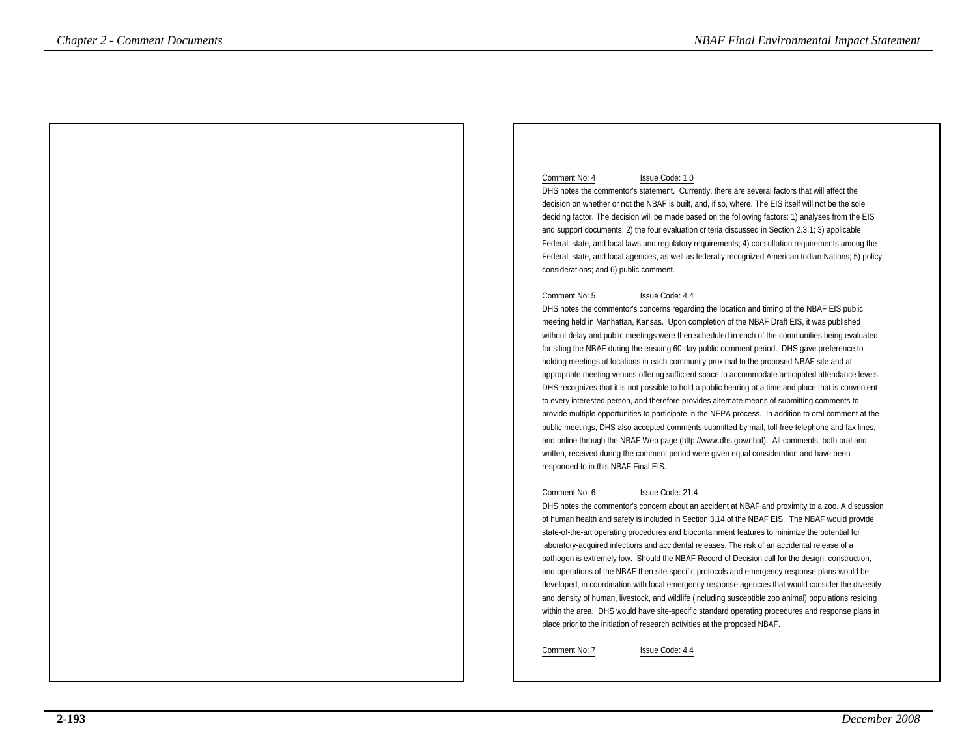### Comment No: 4 Issue Code: 1.0

 DHS notes the commentor's statement. Currently, there are several factors that will affect the decision on whether or not the NBAF is built, and, if so, where. The EIS itself will not be the sole deciding factor. The decision will be made based on the following factors: 1) analyses from the EISand support documents; 2) the four evaluation criteria discussed in Section 2.3.1; 3) applicable Federal, state, and local laws and regulatory requirements; 4) consultation requirements among the Federal, state, and local agencies, as well as federally recognized American Indian Nations; 5) policyconsiderations; and 6) public comment.

### Comment No: 5 Issue Code: 4.4

 DHS notes the commentor's concerns regarding the location and timing of the NBAF EIS public meeting held in Manhattan, Kansas. Upon completion of the NBAF Draft EIS, it was published without delay and public meetings were then scheduled in each of the communities being evaluatedfor siting the NBAF during the ensuing 60-day public comment period. DHS gave preference toholding meetings at locations in each community proximal to the proposed NBAF site and at appropriate meeting venues offering sufficient space to accommodate anticipated attendance levels. DHS recognizes that it is not possible to hold a public hearing at a time and place that is convenientto every interested person, and therefore provides alternate means of submitting comments to provide multiple opportunities to participate in the NEPA process. In addition to oral comment at the public meetings, DHS also accepted comments submitted by mail, toll-free telephone and fax lines,and online through the NBAF Web page (http://www.dhs.gov/nbaf). All comments, both oral andwritten, received during the comment period were given equal consideration and have beenresponded to in this NBAF Final EIS.**Chapter 2 - Comments Documents <br>
Contained a model of the statemental interaction of the statemental Interaction Comments are also that the statemental Interaction Comments are also the statemental Interaction Comments a** 

### Comment No: 6 Issue Code: 21.4

 DHS notes the commentor's concern about an accident at NBAF and proximity to a zoo. A discussionof human health and safety is included in Section 3.14 of the NBAF EIS. The NBAF would providestate-of-the-art operating procedures and biocontainment features to minimize the potential forlaboratory-acquired infections and accidental releases. The risk of an accidental release of a pathogen is extremely low. Should the NBAF Record of Decision call for the design, construction, and operations of the NBAF then site specific protocols and emergency response plans would be developed, in coordination with local emergency response agencies that would consider the diversity and density of human, livestock, and wildlife (including susceptible zoo animal) populations residing within the area. DHS would have site-specific standard operating procedures and response plans inplace prior to the initiation of research activities at the proposed NBAF.

Comment No: 7 Issue Code: 4.4

*December 2008*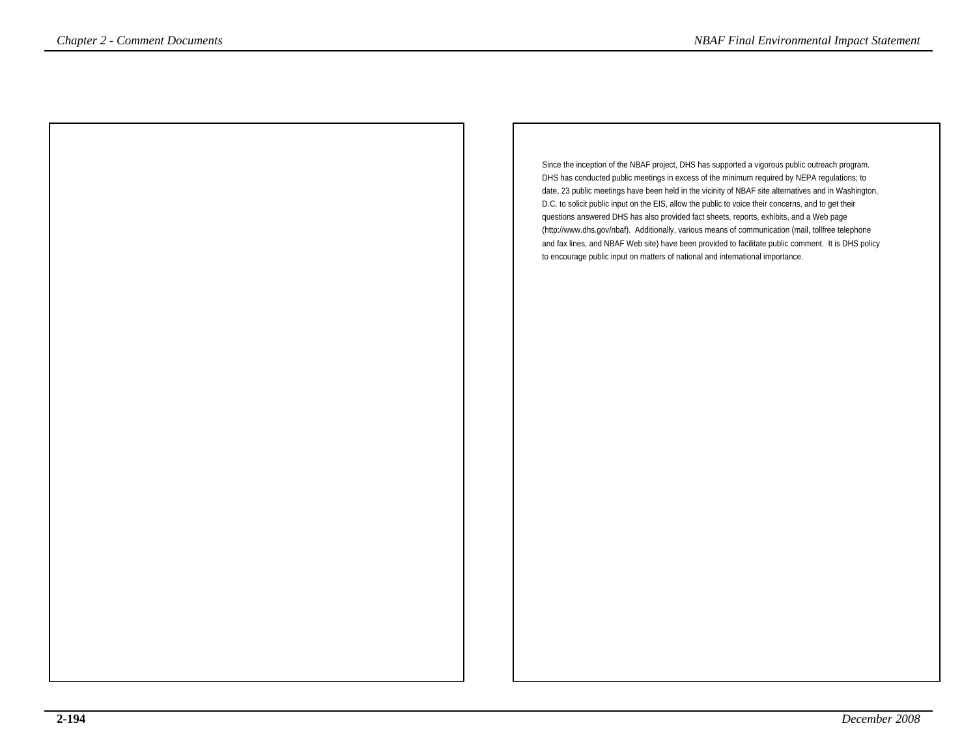Since the inception of the NBAF project, DHS has supported a vigorous public outreach program. DHS has conducted public meetings in excess of the minimum required by NEPA regulations; to date, 23 public meetings have been held in the vicinity of NBAF site alternatives and in Washington,D.C. to solicit public input on the EIS, allow the public to voice their concerns, and to get theirquestions answered DHS has also provided fact sheets, reports, exhibits, and a Web page (http://www.dhs.gov/nbaf). Additionally, various means of communication (mail, tollfree telephone and fax lines, and NBAF Web site) have been provided to facilitate public comment. It is DHS policyto encourage public input on matters of national and international importance.*NBAF Final Environmental Impact Statement*<br>
Since the inception of the NBAF project, DHS has supported a vigorous public outerach program.<br>
DHS has conducted public methods in a supported a vigorous public outerach progr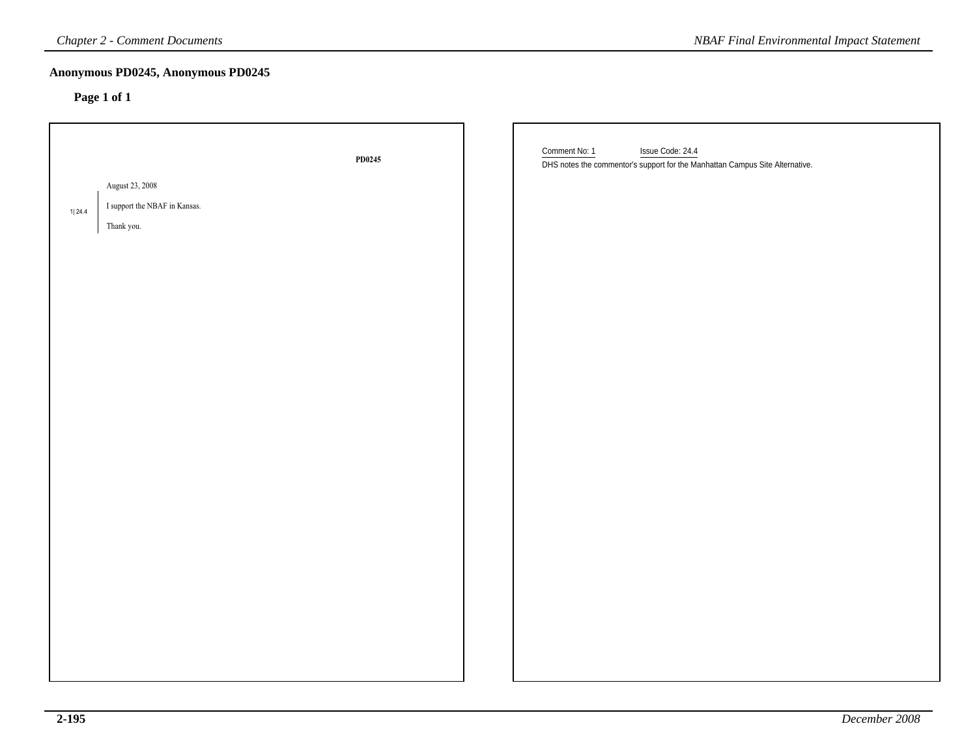| <b>Chapter 2 - Comment Documents</b> |                                                   |        | <b>NBAF Final Environmental Impact Statement</b>                                                                  |
|--------------------------------------|---------------------------------------------------|--------|-------------------------------------------------------------------------------------------------------------------|
|                                      | Anonymous PD0245, Anonymous PD0245<br>Page 1 of 1 |        |                                                                                                                   |
|                                      |                                                   | PD0245 | Comment No: 1<br>Issue Code: 24.4<br>DHS notes the commentor's support for the Manhattan Campus Site Alternative. |
|                                      | August 23, 2008                                   |        |                                                                                                                   |
| 1 24.4                               | I support the NBAF in Kansas.                     |        |                                                                                                                   |
|                                      | Thank you.                                        |        |                                                                                                                   |
|                                      |                                                   |        |                                                                                                                   |
|                                      |                                                   |        |                                                                                                                   |
|                                      |                                                   |        |                                                                                                                   |
|                                      |                                                   |        |                                                                                                                   |
|                                      |                                                   |        |                                                                                                                   |
|                                      |                                                   |        |                                                                                                                   |
|                                      |                                                   |        |                                                                                                                   |
|                                      |                                                   |        |                                                                                                                   |
|                                      |                                                   |        |                                                                                                                   |
|                                      |                                                   |        |                                                                                                                   |
|                                      |                                                   |        |                                                                                                                   |
|                                      |                                                   |        |                                                                                                                   |
|                                      |                                                   |        |                                                                                                                   |
|                                      |                                                   |        |                                                                                                                   |
|                                      |                                                   |        |                                                                                                                   |
|                                      |                                                   |        |                                                                                                                   |
|                                      |                                                   |        |                                                                                                                   |
|                                      |                                                   |        |                                                                                                                   |
|                                      |                                                   |        |                                                                                                                   |
|                                      |                                                   |        |                                                                                                                   |
|                                      |                                                   |        |                                                                                                                   |
|                                      |                                                   |        |                                                                                                                   |
|                                      |                                                   |        |                                                                                                                   |
|                                      |                                                   |        |                                                                                                                   |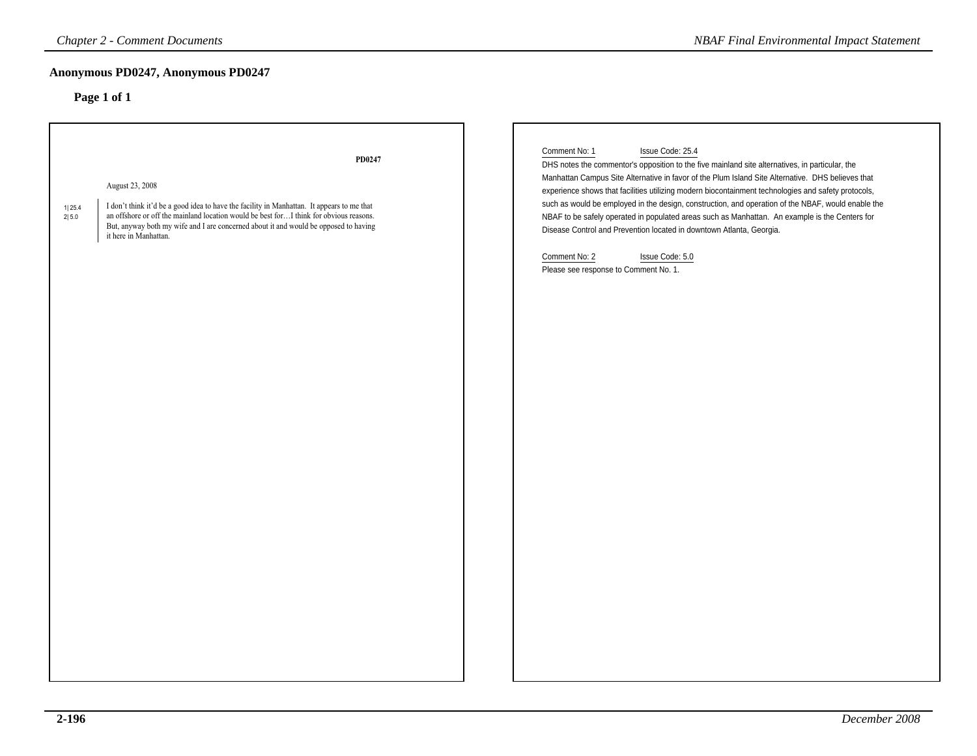### **Anonymous PD0247, Anonymous PD0247**

| <b>Chapter 2 - Comment Documents</b>                                                                                                                                                                                                                                                                                                                   | <b>NBAF Final Environmental Impact Statement</b>                                                                                                                                                                                                                                                                                                                                                                                                                                                                                                                                                                                                                                                              |
|--------------------------------------------------------------------------------------------------------------------------------------------------------------------------------------------------------------------------------------------------------------------------------------------------------------------------------------------------------|---------------------------------------------------------------------------------------------------------------------------------------------------------------------------------------------------------------------------------------------------------------------------------------------------------------------------------------------------------------------------------------------------------------------------------------------------------------------------------------------------------------------------------------------------------------------------------------------------------------------------------------------------------------------------------------------------------------|
| Anonymous PD0247, Anonymous PD0247                                                                                                                                                                                                                                                                                                                     |                                                                                                                                                                                                                                                                                                                                                                                                                                                                                                                                                                                                                                                                                                               |
| Page 1 of 1                                                                                                                                                                                                                                                                                                                                            |                                                                                                                                                                                                                                                                                                                                                                                                                                                                                                                                                                                                                                                                                                               |
| PD0247<br>August 23, 2008<br>I don't think it'd be a good idea to have the facility in Manhattan. It appears to me that<br>1 25.4<br>an offshore or off the mainland location would be best for I think for obvious reasons.<br>2 5.0<br>But, anyway both my wife and I are concerned about it and would be opposed to having<br>it here in Manhattan. | Comment No: 1<br>Issue Code: 25.4<br>DHS notes the commentor's opposition to the five mainland site alternatives, in particular, the<br>Manhattan Campus Site Alternative in favor of the Plum Island Site Alternative. DHS believes that<br>experience shows that facilities utilizing modern biocontainment technologies and safety protocols,<br>such as would be employed in the design, construction, and operation of the NBAF, would enable the<br>NBAF to be safely operated in populated areas such as Manhattan. An example is the Centers for<br>Disease Control and Prevention located in downtown Atlanta, Georgia.<br>Comment No: 2<br>Issue Code: 5.0<br>Please see response to Comment No. 1. |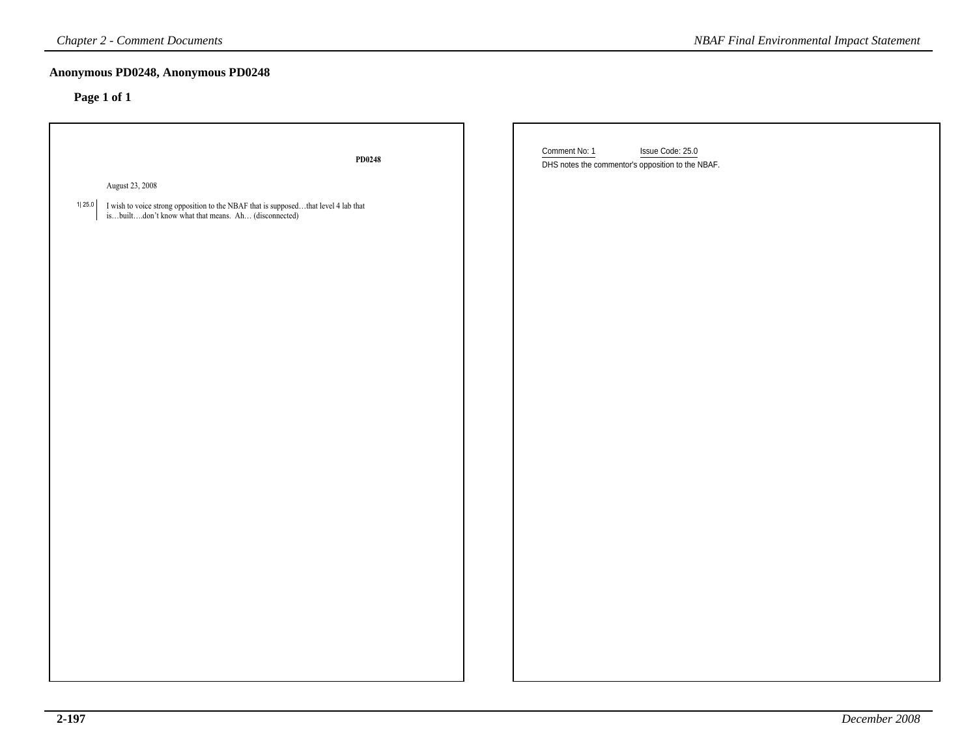| <b>Chapter 2 - Comment Documents</b>                                                                                                                | <b>NBAF Final Environmental Impact Statement</b>                                       |
|-----------------------------------------------------------------------------------------------------------------------------------------------------|----------------------------------------------------------------------------------------|
| Anonymous PD0248, Anonymous PD0248                                                                                                                  |                                                                                        |
| Page 1 of 1                                                                                                                                         |                                                                                        |
| PD0248                                                                                                                                              | Issue Code: 25.0<br>Comment No: 1<br>DHS notes the commentor's opposition to the NBAF. |
| August 23, 2008                                                                                                                                     |                                                                                        |
| 1  25.0<br>I wish to voice strong opposition to the NBAF that is supposedthat level 4 lab that isbuiltdon't know what that means. Ah (disconnected) |                                                                                        |
|                                                                                                                                                     |                                                                                        |
|                                                                                                                                                     |                                                                                        |
|                                                                                                                                                     |                                                                                        |
|                                                                                                                                                     |                                                                                        |
|                                                                                                                                                     |                                                                                        |
|                                                                                                                                                     |                                                                                        |
|                                                                                                                                                     |                                                                                        |
|                                                                                                                                                     |                                                                                        |
|                                                                                                                                                     |                                                                                        |
|                                                                                                                                                     |                                                                                        |
|                                                                                                                                                     |                                                                                        |
|                                                                                                                                                     |                                                                                        |
|                                                                                                                                                     |                                                                                        |
|                                                                                                                                                     |                                                                                        |
|                                                                                                                                                     |                                                                                        |
|                                                                                                                                                     |                                                                                        |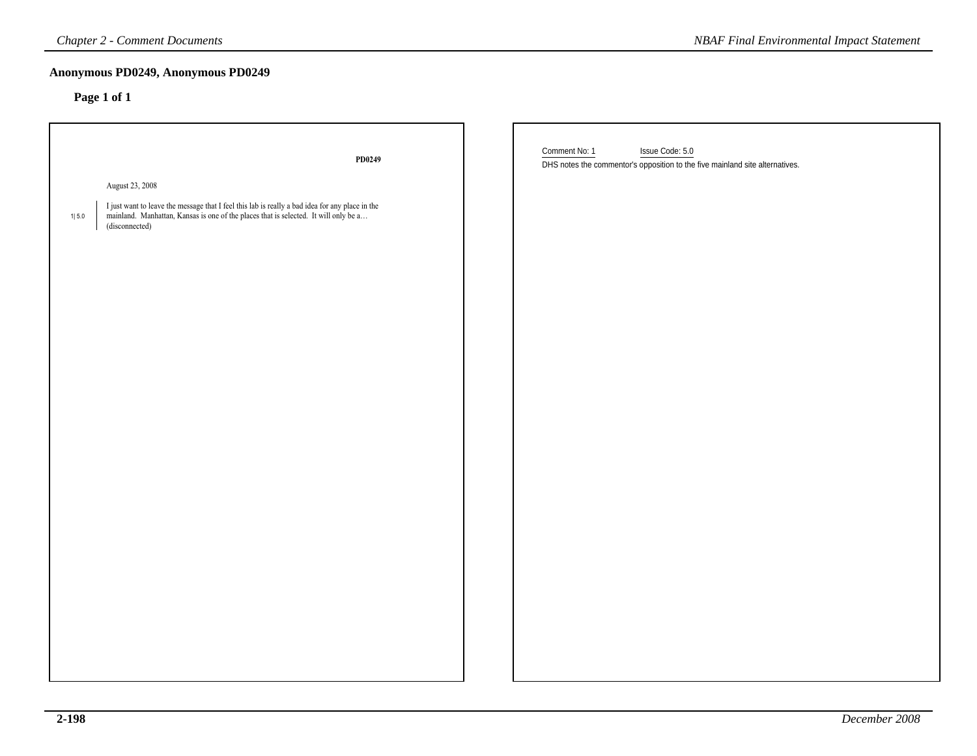|         | <b>Chapter 2 - Comment Documents</b>                                                                                                                                                                      | <b>NBAF Final Environmental Impact Statement</b>                                                                 |
|---------|-----------------------------------------------------------------------------------------------------------------------------------------------------------------------------------------------------------|------------------------------------------------------------------------------------------------------------------|
|         | Anonymous PD0249, Anonymous PD0249<br>Page 1 of 1                                                                                                                                                         |                                                                                                                  |
|         | PD0249                                                                                                                                                                                                    | Comment No: 1<br>Issue Code: 5.0<br>DHS notes the commentor's opposition to the five mainland site alternatives. |
|         | August 23, 2008                                                                                                                                                                                           |                                                                                                                  |
| $1 5.0$ | I just want to leave the message that I feel this lab is really a bad idea for any place in the<br>mainland. Manhattan, Kansas is one of the places that is selected. It will only be a<br>(disconnected) |                                                                                                                  |
|         |                                                                                                                                                                                                           |                                                                                                                  |
|         |                                                                                                                                                                                                           |                                                                                                                  |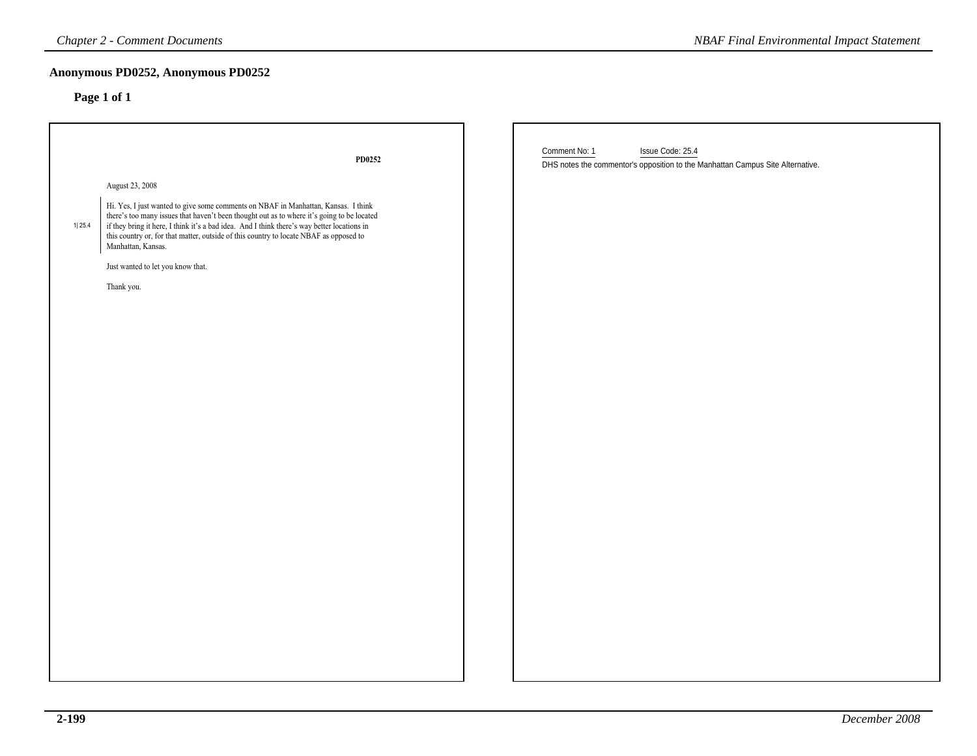|        | <b>Chapter 2 - Comment Documents</b>                                                                                                                                                                                                                                                                                                                                                                                                                                            | <b>NBAF Final Environmental Impact Statement</b>                                                                    |
|--------|---------------------------------------------------------------------------------------------------------------------------------------------------------------------------------------------------------------------------------------------------------------------------------------------------------------------------------------------------------------------------------------------------------------------------------------------------------------------------------|---------------------------------------------------------------------------------------------------------------------|
|        | Anonymous PD0252, Anonymous PD0252<br>Page 1 of 1                                                                                                                                                                                                                                                                                                                                                                                                                               |                                                                                                                     |
| 1 25.4 | PD0252<br>August 23, 2008<br>Hi. Yes, I just wanted to give some comments on NBAF in Manhattan, Kansas. I think<br>there's too many issues that haven't been thought out as to where it's going to be located<br>if they bring it here, I think it's a bad idea. And I think there's way better locations in<br>this country or, for that matter, outside of this country to locate NBAF as opposed to<br>Manhattan, Kansas.<br>Just wanted to let you know that.<br>Thank you. | Comment No: 1<br>Issue Code: 25.4<br>DHS notes the commentor's opposition to the Manhattan Campus Site Alternative. |
|        |                                                                                                                                                                                                                                                                                                                                                                                                                                                                                 |                                                                                                                     |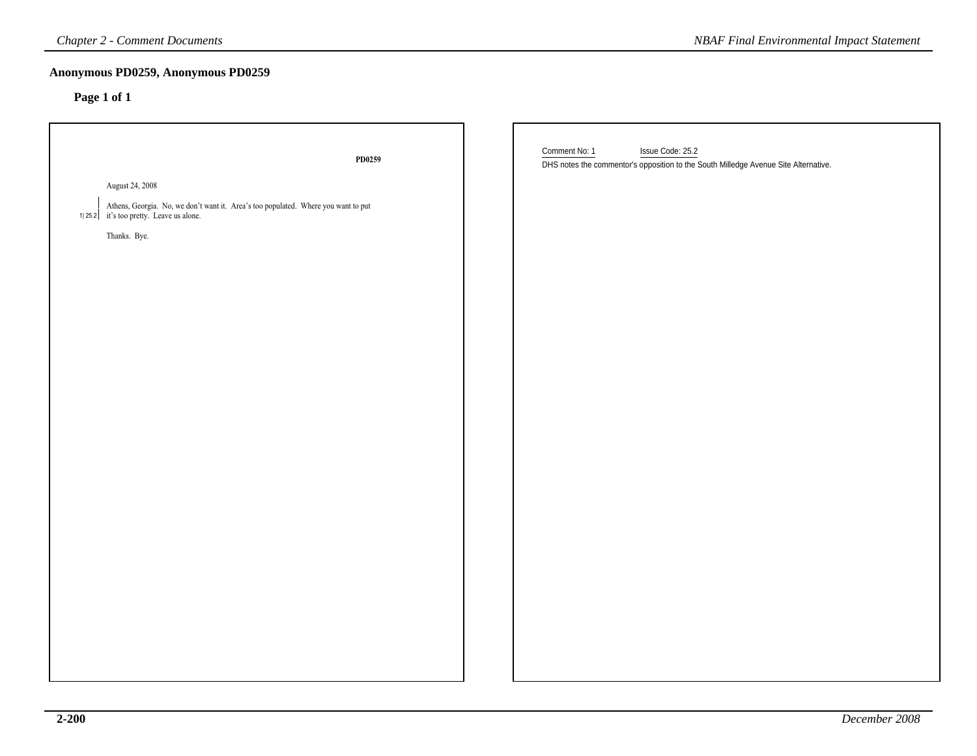| <b>Chapter 2 - Comment Documents</b>                                                                                          | <b>NBAF Final Environmental Impact Statement</b>                                                                         |
|-------------------------------------------------------------------------------------------------------------------------------|--------------------------------------------------------------------------------------------------------------------------|
| Anonymous PD0259, Anonymous PD0259<br>Page 1 of 1                                                                             |                                                                                                                          |
| PD0259                                                                                                                        | Comment No: 1<br>Issue Code: 25.2<br>DHS notes the commentor's opposition to the South Milledge Avenue Site Alternative. |
| August 24, 2008                                                                                                               |                                                                                                                          |
| Athens, Georgia. No, we don't want it. Area's too populated. Where you want to put<br>1 25.2 it's too pretty. Leave us alone. |                                                                                                                          |
| Thanks. Bye.                                                                                                                  |                                                                                                                          |
|                                                                                                                               |                                                                                                                          |
|                                                                                                                               |                                                                                                                          |
|                                                                                                                               |                                                                                                                          |
|                                                                                                                               |                                                                                                                          |
|                                                                                                                               |                                                                                                                          |
|                                                                                                                               |                                                                                                                          |
|                                                                                                                               |                                                                                                                          |
|                                                                                                                               |                                                                                                                          |
|                                                                                                                               |                                                                                                                          |
|                                                                                                                               |                                                                                                                          |
|                                                                                                                               |                                                                                                                          |
|                                                                                                                               |                                                                                                                          |
|                                                                                                                               |                                                                                                                          |
|                                                                                                                               |                                                                                                                          |
|                                                                                                                               |                                                                                                                          |
|                                                                                                                               |                                                                                                                          |
|                                                                                                                               |                                                                                                                          |
|                                                                                                                               |                                                                                                                          |
|                                                                                                                               |                                                                                                                          |
|                                                                                                                               |                                                                                                                          |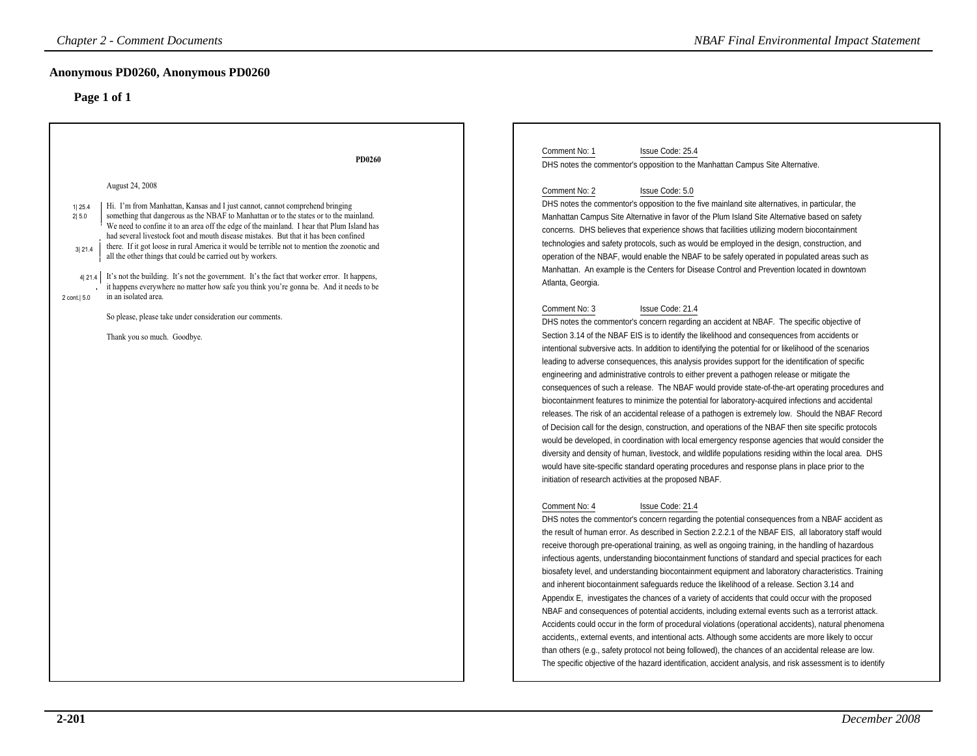| <b>Chapter 2 - Comment Documents</b>                                                                                                                                                                                                                                                                                                                                                                                                                                                                                                                                                                                                                                                                                                                                                                                                                                                                                                           | <b>NBAF Final Environmental Impact Statement</b>                                                                                                                                                                                                                                                                                                                                                                                                                                                                                                                                                                                                                                                                                                                                                                                                                                                                                                                                                                                                                                                                                                                                                                                                                                                                                                                                                                                                                                                                                                                                                                                                                                                                                                                                                                                                                                                                                                                                                                                                                                                                                                                                                                                                                                                                                                                                                                                                                                                                                                                                                                                                                                                                                                                                                                                                                                                                                                                                                                                                                                                                                                                                                                                                                                                                                                                                                                                                             |
|------------------------------------------------------------------------------------------------------------------------------------------------------------------------------------------------------------------------------------------------------------------------------------------------------------------------------------------------------------------------------------------------------------------------------------------------------------------------------------------------------------------------------------------------------------------------------------------------------------------------------------------------------------------------------------------------------------------------------------------------------------------------------------------------------------------------------------------------------------------------------------------------------------------------------------------------|--------------------------------------------------------------------------------------------------------------------------------------------------------------------------------------------------------------------------------------------------------------------------------------------------------------------------------------------------------------------------------------------------------------------------------------------------------------------------------------------------------------------------------------------------------------------------------------------------------------------------------------------------------------------------------------------------------------------------------------------------------------------------------------------------------------------------------------------------------------------------------------------------------------------------------------------------------------------------------------------------------------------------------------------------------------------------------------------------------------------------------------------------------------------------------------------------------------------------------------------------------------------------------------------------------------------------------------------------------------------------------------------------------------------------------------------------------------------------------------------------------------------------------------------------------------------------------------------------------------------------------------------------------------------------------------------------------------------------------------------------------------------------------------------------------------------------------------------------------------------------------------------------------------------------------------------------------------------------------------------------------------------------------------------------------------------------------------------------------------------------------------------------------------------------------------------------------------------------------------------------------------------------------------------------------------------------------------------------------------------------------------------------------------------------------------------------------------------------------------------------------------------------------------------------------------------------------------------------------------------------------------------------------------------------------------------------------------------------------------------------------------------------------------------------------------------------------------------------------------------------------------------------------------------------------------------------------------------------------------------------------------------------------------------------------------------------------------------------------------------------------------------------------------------------------------------------------------------------------------------------------------------------------------------------------------------------------------------------------------------------------------------------------------------------------------------------------------|
| Anonymous PD0260, Anonymous PD0260<br>Page 1 of 1                                                                                                                                                                                                                                                                                                                                                                                                                                                                                                                                                                                                                                                                                                                                                                                                                                                                                              |                                                                                                                                                                                                                                                                                                                                                                                                                                                                                                                                                                                                                                                                                                                                                                                                                                                                                                                                                                                                                                                                                                                                                                                                                                                                                                                                                                                                                                                                                                                                                                                                                                                                                                                                                                                                                                                                                                                                                                                                                                                                                                                                                                                                                                                                                                                                                                                                                                                                                                                                                                                                                                                                                                                                                                                                                                                                                                                                                                                                                                                                                                                                                                                                                                                                                                                                                                                                                                                              |
| Comment No: 1<br>PD0260<br>August 24, 2008<br>Hi. I'm from Manhattan, Kansas and I just cannot, cannot comprehend bringing<br>1 25.4<br>something that dangerous as the NBAF to Manhattan or to the states or to the mainland.<br>2 5.0<br>We need to confine it to an area off the edge of the mainland. I hear that Plum Island has<br>had several livestock foot and mouth disease mistakes. But that it has been confined<br>there. If it got loose in rural America it would be terrible not to mention the zoonotic and<br>3 21.4<br>all the other things that could be carried out by workers.<br>It's not the building. It's not the government. It's the fact that worker error. It happens,<br>4 21.4 <br>it happens everywhere no matter how safe you think you're gonna be. And it needs to be<br>in an isolated area.<br>2 cont.   5.0<br>So please, please take under consideration our comments.<br>Thank you so much. Goodbye. | Issue Code: 25.4<br>DHS notes the commentor's opposition to the Manhattan Campus Site Alternative.<br>Comment No: 2<br>Issue Code: 5.0<br>DHS notes the commentor's opposition to the five mainland site alternatives, in particular, the<br>Manhattan Campus Site Alternative in favor of the Plum Island Site Alternative based on safety<br>concerns. DHS believes that experience shows that facilities utilizing modern biocontainment<br>technologies and safety protocols, such as would be employed in the design, construction, and<br>operation of the NBAF, would enable the NBAF to be safely operated in populated areas such as<br>Manhattan. An example is the Centers for Disease Control and Prevention located in downtown<br>Atlanta, Georgia.<br>Comment No: 3<br>Issue Code: 21.4<br>DHS notes the commentor's concern regarding an accident at NBAF. The specific objective of<br>Section 3.14 of the NBAF EIS is to identify the likelihood and consequences from accidents or<br>intentional subversive acts. In addition to identifying the potential for or likelihood of the scenarios<br>leading to adverse consequences, this analysis provides support for the identification of specific<br>engineering and administrative controls to either prevent a pathogen release or mitigate the<br>consequences of such a release. The NBAF would provide state-of-the-art operating procedures and<br>biocontainment features to minimize the potential for laboratory-acquired infections and accidental<br>releases. The risk of an accidental release of a pathogen is extremely low. Should the NBAF Record<br>of Decision call for the design, construction, and operations of the NBAF then site specific protocols<br>would be developed, in coordination with local emergency response agencies that would consider the<br>diversity and density of human, livestock, and wildlife populations residing within the local area. DHS<br>would have site-specific standard operating procedures and response plans in place prior to the<br>initiation of research activities at the proposed NBAF.<br>Issue Code: 21.4<br>Comment No: 4<br>DHS notes the commentor's concern regarding the potential consequences from a NBAF accident as<br>the result of human error. As described in Section 2.2.2.1 of the NBAF EIS, all laboratory staff would<br>receive thorough pre-operational training, as well as ongoing training, in the handling of hazardous<br>infectious agents, understanding biocontainment functions of standard and special practices for each<br>biosafety level, and understanding biocontainment equipment and laboratory characteristics. Training<br>and inherent biocontainment safeguards reduce the likelihood of a release. Section 3.14 and<br>Appendix E, investigates the chances of a variety of accidents that could occur with the proposed<br>NBAF and consequences of potential accidents, including external events such as a terrorist attack.<br>Accidents could occur in the form of procedural violations (operational accidents), natural phenomena<br>accidents,, external events, and intentional acts. Although some accidents are more likely to occur<br>than others (e.g., safety protocol not being followed), the chances of an accidental release are low.<br>The specific objective of the hazard identification, accident analysis, and risk assessment is to identify |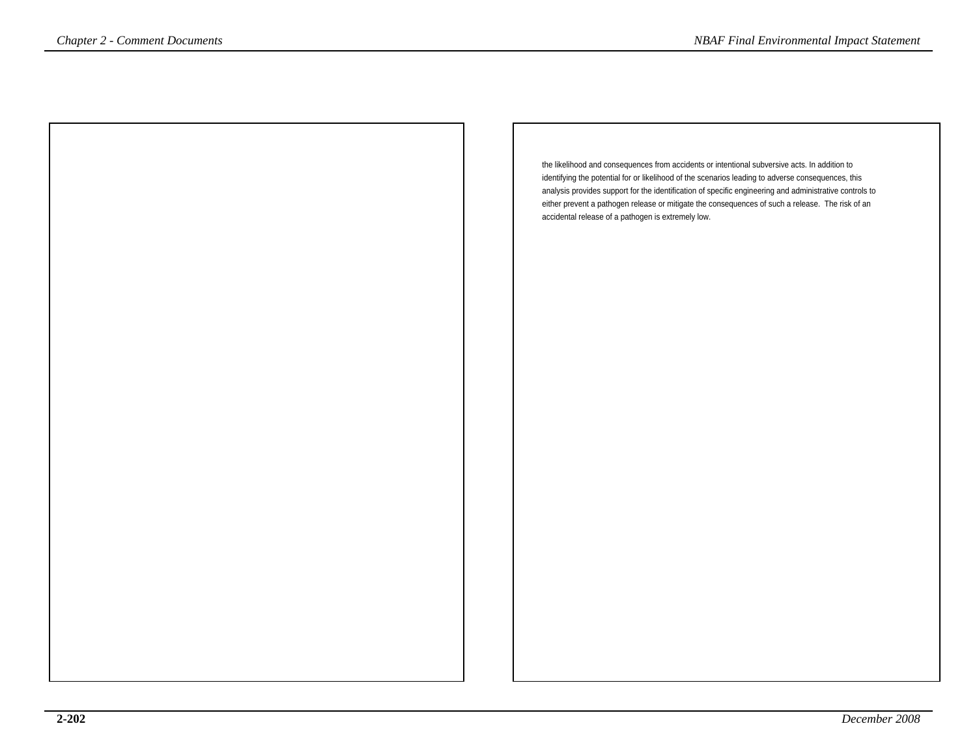the likelihood and consequences from accidents or intentional subversive acts. In addition to identifying the potential for or likelihood of the scenarios leading to adverse consequences, this analysis provides support for the identification of specific engineering and administrative controls to either prevent a pathogen release or mitigate the consequences of such a release. The risk of anaccidental release of a pathogen is extremely low.*Chapter 2 - Comment Documents NBAF Final Environmental Impact Statement*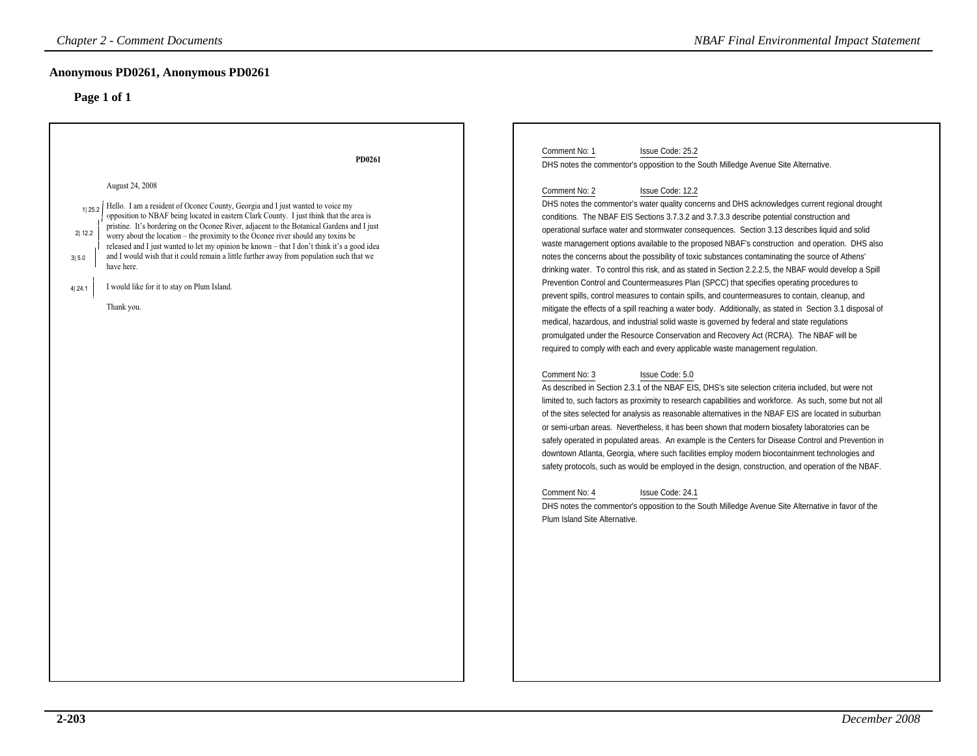| <b>Chapter 2 - Comment Documents</b>                                                                                                                                                                                                                                                                                                                                                                                                                                                                                                                                                                                                                                                                   | <b>NBAF Final Environmental Impact Statement</b>                                                                                                                                                                                                                                                                                                                                                                                                                                                                                                                                                                                                                                                                                                                                                                                                                                                                                                                                                                                                                                                                                                                                                                                                                                                                                                                                                                                                                                                                                                                                                                                                                                                                                                                                                                                                                                                                                                                                                                                                                                                                                                                                                                                                                                                                                    |
|--------------------------------------------------------------------------------------------------------------------------------------------------------------------------------------------------------------------------------------------------------------------------------------------------------------------------------------------------------------------------------------------------------------------------------------------------------------------------------------------------------------------------------------------------------------------------------------------------------------------------------------------------------------------------------------------------------|-------------------------------------------------------------------------------------------------------------------------------------------------------------------------------------------------------------------------------------------------------------------------------------------------------------------------------------------------------------------------------------------------------------------------------------------------------------------------------------------------------------------------------------------------------------------------------------------------------------------------------------------------------------------------------------------------------------------------------------------------------------------------------------------------------------------------------------------------------------------------------------------------------------------------------------------------------------------------------------------------------------------------------------------------------------------------------------------------------------------------------------------------------------------------------------------------------------------------------------------------------------------------------------------------------------------------------------------------------------------------------------------------------------------------------------------------------------------------------------------------------------------------------------------------------------------------------------------------------------------------------------------------------------------------------------------------------------------------------------------------------------------------------------------------------------------------------------------------------------------------------------------------------------------------------------------------------------------------------------------------------------------------------------------------------------------------------------------------------------------------------------------------------------------------------------------------------------------------------------------------------------------------------------------------------------------------------------|
| Anonymous PD0261, Anonymous PD0261<br>Page 1 of 1                                                                                                                                                                                                                                                                                                                                                                                                                                                                                                                                                                                                                                                      |                                                                                                                                                                                                                                                                                                                                                                                                                                                                                                                                                                                                                                                                                                                                                                                                                                                                                                                                                                                                                                                                                                                                                                                                                                                                                                                                                                                                                                                                                                                                                                                                                                                                                                                                                                                                                                                                                                                                                                                                                                                                                                                                                                                                                                                                                                                                     |
| PD0261<br>August 24, 2008<br>Hello. I am a resident of Oconee County, Georgia and I just wanted to voice my<br>1125.2<br>opposition to NBAF being located in eastern Clark County. I just think that the area is<br>pristine. It's bordering on the Oconee River, adjacent to the Botanical Gardens and I just<br>2 12.2<br>worry about the location – the proximity to the Oconee river should any toxins be<br>released and I just wanted to let my opinion be known - that I don't think it's a good idea<br>and I would wish that it could remain a little further away from population such that we<br>3 5.0<br>have here.<br>I would like for it to stay on Plum Island.<br>4 24.1<br>Thank you. | Comment No: 1<br>Issue Code: 25.2<br>DHS notes the commentor's opposition to the South Milledge Avenue Site Alternative.<br>Comment No: 2<br>Issue Code: 12.2<br>DHS notes the commentor's water quality concerns and DHS acknowledges current regional drought<br>conditions. The NBAF EIS Sections 3.7.3.2 and 3.7.3.3 describe potential construction and<br>operational surface water and stormwater consequences. Section 3.13 describes liquid and solid<br>waste management options available to the proposed NBAF's construction and operation. DHS also<br>notes the concerns about the possibility of toxic substances contaminating the source of Athens'<br>drinking water. To control this risk, and as stated in Section 2.2.2.5, the NBAF would develop a Spill<br>Prevention Control and Countermeasures Plan (SPCC) that specifies operating procedures to<br>prevent spills, control measures to contain spills, and countermeasures to contain, cleanup, and<br>mitigate the effects of a spill reaching a water body. Additionally, as stated in Section 3.1 disposal of<br>medical, hazardous, and industrial solid waste is governed by federal and state regulations<br>promulgated under the Resource Conservation and Recovery Act (RCRA). The NBAF will be<br>required to comply with each and every applicable waste management regulation.<br>Issue Code: 5.0<br>Comment No: 3<br>As described in Section 2.3.1 of the NBAF EIS, DHS's site selection criteria included, but were not<br>limited to, such factors as proximity to research capabilities and workforce. As such, some but not all<br>of the sites selected for analysis as reasonable alternatives in the NBAF EIS are located in suburban<br>or semi-urban areas. Nevertheless, it has been shown that modern biosafety laboratories can be<br>safely operated in populated areas. An example is the Centers for Disease Control and Prevention in<br>downtown Atlanta, Georgia, where such facilities employ modern biocontainment technologies and<br>safety protocols, such as would be employed in the design, construction, and operation of the NBAF.<br>Comment No: 4<br>Issue Code: 24.1<br>DHS notes the commentor's opposition to the South Milledge Avenue Site Alternative in favor of the<br>Plum Island Site Alternative. |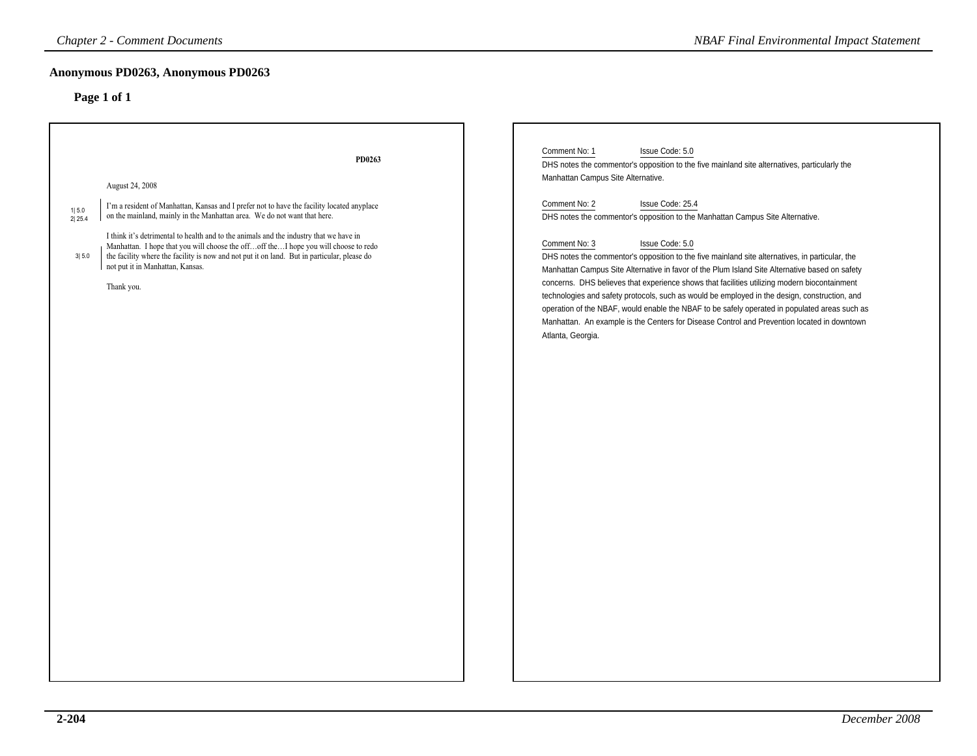| <b>Chapter 2 - Comment Documents</b>                                                                                                                                                                                                                                                                                                                                                                                                                                                                                                                              | <b>NBAF Final Environmental Impact Statement</b>                                                                                                                                                                                                                                                                                                                                                                                                                                                                                                                                                                                                                                                                                                                                                                                                                                                                                                              |
|-------------------------------------------------------------------------------------------------------------------------------------------------------------------------------------------------------------------------------------------------------------------------------------------------------------------------------------------------------------------------------------------------------------------------------------------------------------------------------------------------------------------------------------------------------------------|---------------------------------------------------------------------------------------------------------------------------------------------------------------------------------------------------------------------------------------------------------------------------------------------------------------------------------------------------------------------------------------------------------------------------------------------------------------------------------------------------------------------------------------------------------------------------------------------------------------------------------------------------------------------------------------------------------------------------------------------------------------------------------------------------------------------------------------------------------------------------------------------------------------------------------------------------------------|
| Anonymous PD0263, Anonymous PD0263<br>Page 1 of 1                                                                                                                                                                                                                                                                                                                                                                                                                                                                                                                 |                                                                                                                                                                                                                                                                                                                                                                                                                                                                                                                                                                                                                                                                                                                                                                                                                                                                                                                                                               |
| PD0263<br>August 24, 2008<br>I'm a resident of Manhattan, Kansas and I prefer not to have the facility located anyplace<br>1 5.0<br>on the mainland, mainly in the Manhattan area. We do not want that here.<br>2 25.4<br>I think it's detrimental to health and to the animals and the industry that we have in<br>Manhattan. I hope that you will choose the offoff theI hope you will choose to redo<br>the facility where the facility is now and not put it on land. But in particular, please do<br>3 5.0<br>not put it in Manhattan, Kansas.<br>Thank you. | Comment No: 1<br>Issue Code: 5.0<br>DHS notes the commentor's opposition to the five mainland site alternatives, particularly the<br>Manhattan Campus Site Alternative.<br>Comment No: 2<br>Issue Code: 25.4<br>DHS notes the commentor's opposition to the Manhattan Campus Site Alternative.<br>Comment No: 3<br>Issue Code: 5.0<br>DHS notes the commentor's opposition to the five mainland site alternatives, in particular, the<br>Manhattan Campus Site Alternative in favor of the Plum Island Site Alternative based on safety<br>concerns. DHS believes that experience shows that facilities utilizing modern biocontainment<br>technologies and safety protocols, such as would be employed in the design, construction, and<br>operation of the NBAF, would enable the NBAF to be safely operated in populated areas such as<br>Manhattan. An example is the Centers for Disease Control and Prevention located in downtown<br>Atlanta, Georgia. |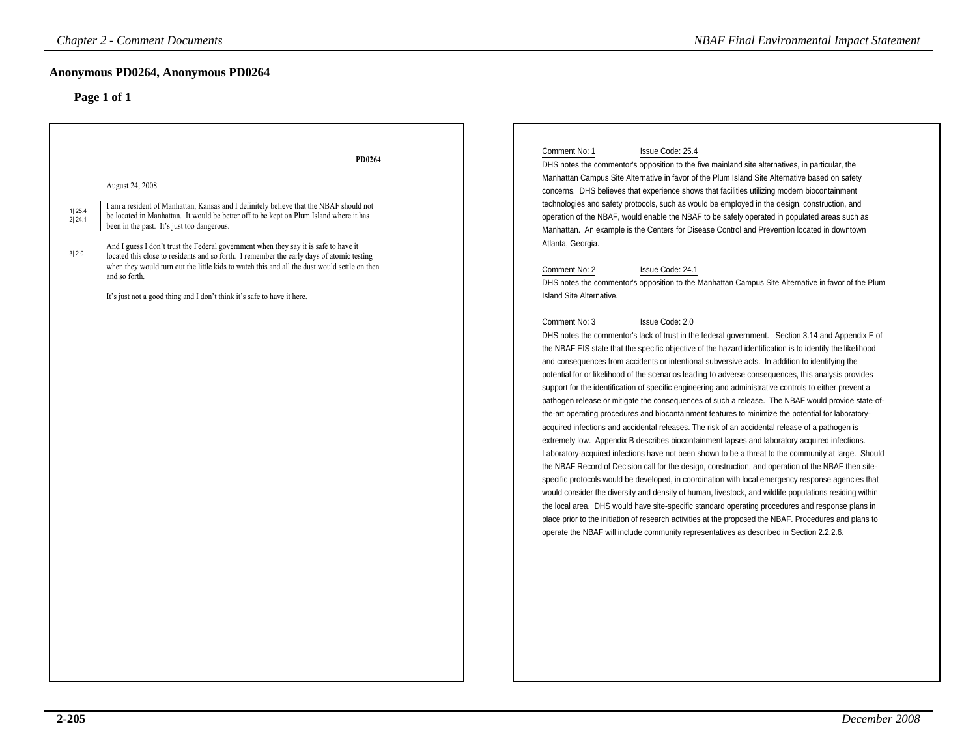### **Anonymous PD0264, Anonymous PD0264**

| Anonymous PD0264, Anonymous PD0264<br>Page 1 of 1                                                                                                                                                                                                                                                                                                                                                                                                                                                                                                                                                                                                                         |                                                                                                                                                                                                                                                                                                                                                                                                                                                                                                                                                                                                                                                                                                                                                                                                                                                                                                                                                                                                                                                                                                                                                                                                                                                                                                                                                                                                                                                                                                                                                                                                                                                                                                                                                                                                                                                                                                                                                                                                                                                                                                                                                                                                                                                                                                                                                                                                                                                                                                                                                                      |
|---------------------------------------------------------------------------------------------------------------------------------------------------------------------------------------------------------------------------------------------------------------------------------------------------------------------------------------------------------------------------------------------------------------------------------------------------------------------------------------------------------------------------------------------------------------------------------------------------------------------------------------------------------------------------|----------------------------------------------------------------------------------------------------------------------------------------------------------------------------------------------------------------------------------------------------------------------------------------------------------------------------------------------------------------------------------------------------------------------------------------------------------------------------------------------------------------------------------------------------------------------------------------------------------------------------------------------------------------------------------------------------------------------------------------------------------------------------------------------------------------------------------------------------------------------------------------------------------------------------------------------------------------------------------------------------------------------------------------------------------------------------------------------------------------------------------------------------------------------------------------------------------------------------------------------------------------------------------------------------------------------------------------------------------------------------------------------------------------------------------------------------------------------------------------------------------------------------------------------------------------------------------------------------------------------------------------------------------------------------------------------------------------------------------------------------------------------------------------------------------------------------------------------------------------------------------------------------------------------------------------------------------------------------------------------------------------------------------------------------------------------------------------------------------------------------------------------------------------------------------------------------------------------------------------------------------------------------------------------------------------------------------------------------------------------------------------------------------------------------------------------------------------------------------------------------------------------------------------------------------------------|
| PD0264<br>August 24, 2008<br>I am a resident of Manhattan, Kansas and I definitely believe that the NBAF should not<br>1 25.4<br>be located in Manhattan. It would be better off to be kept on Plum Island where it has<br>2 24.1<br>been in the past. It's just too dangerous.<br>And I guess I don't trust the Federal government when they say it is safe to have it<br>3 2.0<br>located this close to residents and so forth. I remember the early days of atomic testing<br>when they would turn out the little kids to watch this and all the dust would settle on then<br>and so forth.<br>It's just not a good thing and I don't think it's safe to have it here. | Comment No: 1<br>Issue Code: 25.4<br>DHS notes the commentor's opposition to the five mainland site alternatives, in particular, the<br>Manhattan Campus Site Alternative in favor of the Plum Island Site Alternative based on safety<br>concerns. DHS believes that experience shows that facilities utilizing modern biocontainment<br>technologies and safety protocols, such as would be employed in the design, construction, and<br>operation of the NBAF, would enable the NBAF to be safely operated in populated areas such as<br>Manhattan. An example is the Centers for Disease Control and Prevention located in downtown<br>Atlanta, Georgia.<br>Comment No: 2<br>Issue Code: 24.1<br>DHS notes the commentor's opposition to the Manhattan Campus Site Alternative in favor of the Plum<br>Island Site Alternative.<br>Comment No: 3<br>Issue Code: 2.0<br>DHS notes the commentor's lack of trust in the federal government. Section 3.14 and Appendix E of<br>the NBAF EIS state that the specific objective of the hazard identification is to identify the likelihood<br>and consequences from accidents or intentional subversive acts. In addition to identifying the<br>potential for or likelihood of the scenarios leading to adverse consequences, this analysis provides<br>support for the identification of specific engineering and administrative controls to either prevent a<br>pathogen release or mitigate the consequences of such a release. The NBAF would provide state-of-<br>the-art operating procedures and biocontainment features to minimize the potential for laboratory-<br>acquired infections and accidental releases. The risk of an accidental release of a pathogen is<br>extremely low. Appendix B describes biocontainment lapses and laboratory acquired infections.<br>Laboratory-acquired infections have not been shown to be a threat to the community at large. Should<br>the NBAF Record of Decision call for the design, construction, and operation of the NBAF then site-<br>specific protocols would be developed, in coordination with local emergency response agencies that<br>would consider the diversity and density of human, livestock, and wildlife populations residing within<br>the local area. DHS would have site-specific standard operating procedures and response plans in<br>place prior to the initiation of research activities at the proposed the NBAF. Procedures and plans to<br>operate the NBAF will include community representatives as described in Section 2.2.2.6. |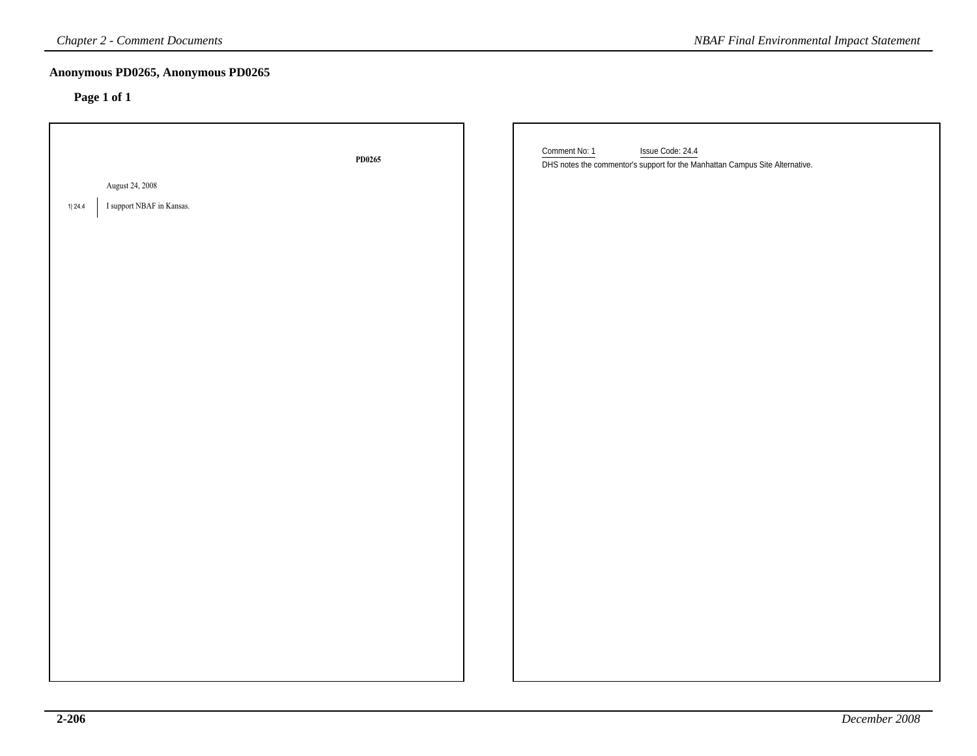| <b>Chapter 2 - Comment Documents</b>                   |        | <b>NBAF Final Environmental Impact Statement</b>                                                                  |
|--------------------------------------------------------|--------|-------------------------------------------------------------------------------------------------------------------|
| Anonymous PD0265, Anonymous PD0265<br>Page 1 of 1      |        |                                                                                                                   |
| August 24, 2008<br>I support NBAF in Kansas.<br>1 24.4 | PD0265 | Comment No: 1<br>Issue Code: 24.4<br>DHS notes the commentor's support for the Manhattan Campus Site Alternative. |
|                                                        |        |                                                                                                                   |
|                                                        |        |                                                                                                                   |
|                                                        |        |                                                                                                                   |
|                                                        |        |                                                                                                                   |
|                                                        |        |                                                                                                                   |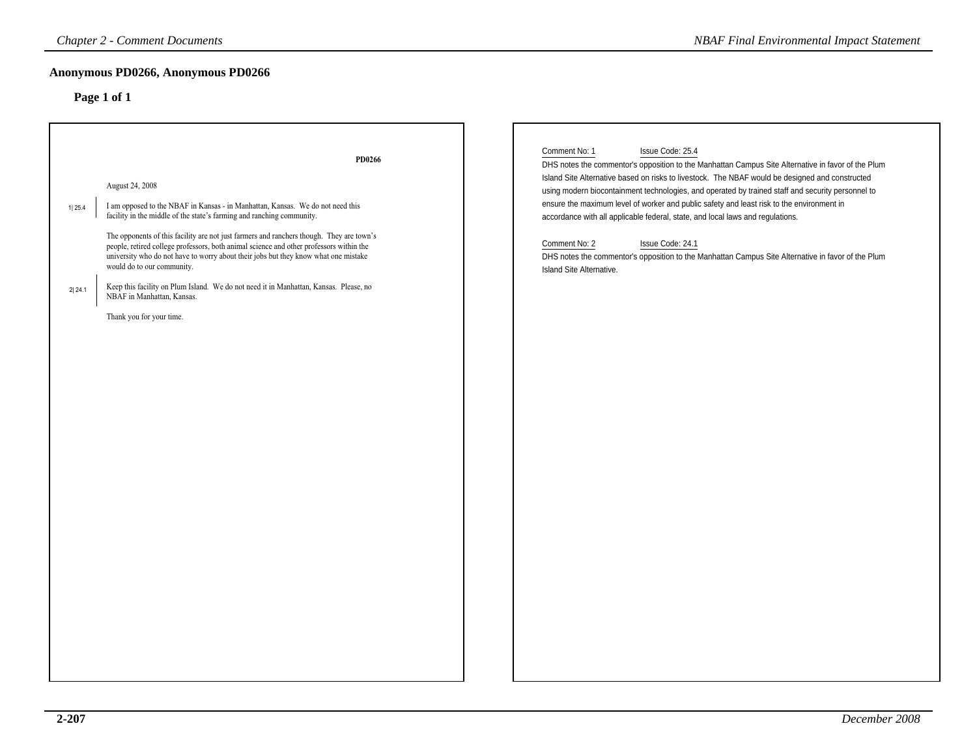| <b>Chapter 2 - Comment Documents</b>                                                                                                                                                                                                                                                                                                                                                                                                                                                                                                                                                                                                                          |        | <b>NBAF Final Environmental Impact Statement</b>                                                                                                                                                                                                                                                                                                                                                                                                                                                                                                                                                                                                                                                      |
|---------------------------------------------------------------------------------------------------------------------------------------------------------------------------------------------------------------------------------------------------------------------------------------------------------------------------------------------------------------------------------------------------------------------------------------------------------------------------------------------------------------------------------------------------------------------------------------------------------------------------------------------------------------|--------|-------------------------------------------------------------------------------------------------------------------------------------------------------------------------------------------------------------------------------------------------------------------------------------------------------------------------------------------------------------------------------------------------------------------------------------------------------------------------------------------------------------------------------------------------------------------------------------------------------------------------------------------------------------------------------------------------------|
| Anonymous PD0266, Anonymous PD0266<br>Page 1 of 1                                                                                                                                                                                                                                                                                                                                                                                                                                                                                                                                                                                                             |        |                                                                                                                                                                                                                                                                                                                                                                                                                                                                                                                                                                                                                                                                                                       |
| August 24, 2008<br>I am opposed to the NBAF in Kansas - in Manhattan, Kansas. We do not need this<br>1 25.4<br>facility in the middle of the state's farming and ranching community.<br>The opponents of this facility are not just farmers and ranchers though. They are town's<br>people, retired college professors, both animal science and other professors within the<br>university who do not have to worry about their jobs but they know what one mistake<br>would do to our community.<br>Keep this facility on Plum Island. We do not need it in Manhattan, Kansas. Please, no<br>2 24.1<br>NBAF in Manhattan, Kansas.<br>Thank you for your time. | PD0266 | Comment No: 1<br>Issue Code: 25.4<br>DHS notes the commentor's opposition to the Manhattan Campus Site Alternative in favor of the Plum<br>Island Site Alternative based on risks to livestock. The NBAF would be designed and constructed<br>using modern biocontainment technologies, and operated by trained staff and security personnel to<br>ensure the maximum level of worker and public safety and least risk to the environment in<br>accordance with all applicable federal, state, and local laws and regulations.<br>Issue Code: 24.1<br>Comment No: 2<br>DHS notes the commentor's opposition to the Manhattan Campus Site Alternative in favor of the Plum<br>Island Site Alternative. |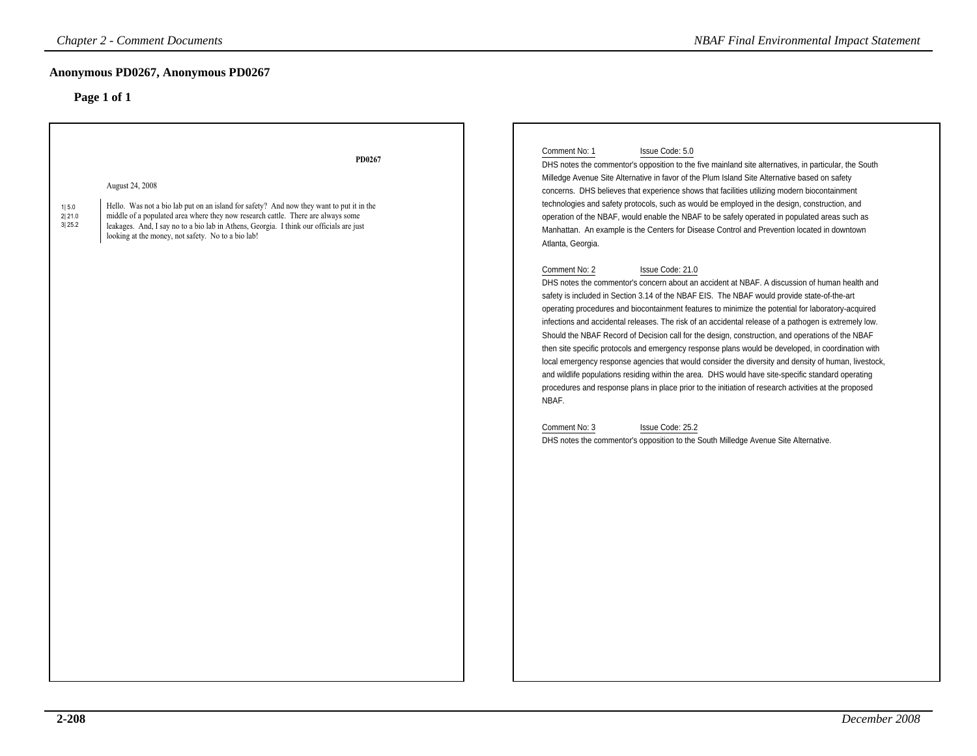### **Anonymous PD0267, Anonymous PD0267**

|                           | <b>Chapter 2 - Comment Documents</b>                                                                                                                                                                                                                                                                                                                       | <b>NBAF Final Environmental Impact Statement</b>                                                                                                                                                                                                                                                                                                                                                                                                                                                                                                                                                                                                                                                                                                                                                                                                                                                                                                                                                                                                                                                                                                                                                                                                                                                                                                                                                                                                                                                                                                                                                                                                                                                                                                                                           |
|---------------------------|------------------------------------------------------------------------------------------------------------------------------------------------------------------------------------------------------------------------------------------------------------------------------------------------------------------------------------------------------------|--------------------------------------------------------------------------------------------------------------------------------------------------------------------------------------------------------------------------------------------------------------------------------------------------------------------------------------------------------------------------------------------------------------------------------------------------------------------------------------------------------------------------------------------------------------------------------------------------------------------------------------------------------------------------------------------------------------------------------------------------------------------------------------------------------------------------------------------------------------------------------------------------------------------------------------------------------------------------------------------------------------------------------------------------------------------------------------------------------------------------------------------------------------------------------------------------------------------------------------------------------------------------------------------------------------------------------------------------------------------------------------------------------------------------------------------------------------------------------------------------------------------------------------------------------------------------------------------------------------------------------------------------------------------------------------------------------------------------------------------------------------------------------------------|
|                           | Anonymous PD0267, Anonymous PD0267<br>Page 1 of 1                                                                                                                                                                                                                                                                                                          |                                                                                                                                                                                                                                                                                                                                                                                                                                                                                                                                                                                                                                                                                                                                                                                                                                                                                                                                                                                                                                                                                                                                                                                                                                                                                                                                                                                                                                                                                                                                                                                                                                                                                                                                                                                            |
| 1 5.0<br>2 21.0<br>3 25.2 | PD0267<br>August 24, 2008<br>Hello. Was not a bio lab put on an island for safety? And now they want to put it in the<br>middle of a populated area where they now research cattle. There are always some<br>leakages. And, I say no to a bio lab in Athens, Georgia. I think our officials are just<br>looking at the money, not safety. No to a bio lab! | Comment No: 1<br>Issue Code: 5.0<br>DHS notes the commentor's opposition to the five mainland site alternatives, in particular, the South<br>Milledge Avenue Site Alternative in favor of the Plum Island Site Alternative based on safety<br>concerns. DHS believes that experience shows that facilities utilizing modern biocontainment<br>technologies and safety protocols, such as would be employed in the design, construction, and<br>operation of the NBAF, would enable the NBAF to be safely operated in populated areas such as<br>Manhattan. An example is the Centers for Disease Control and Prevention located in downtown<br>Atlanta, Georgia.<br>Comment No: 2<br>Issue Code: 21.0<br>DHS notes the commentor's concern about an accident at NBAF. A discussion of human health and<br>safety is included in Section 3.14 of the NBAF EIS. The NBAF would provide state-of-the-art<br>operating procedures and biocontainment features to minimize the potential for laboratory-acquired<br>infections and accidental releases. The risk of an accidental release of a pathogen is extremely low.<br>Should the NBAF Record of Decision call for the design, construction, and operations of the NBAF<br>then site specific protocols and emergency response plans would be developed, in coordination with<br>local emergency response agencies that would consider the diversity and density of human, livestock,<br>and wildlife populations residing within the area. DHS would have site-specific standard operating<br>procedures and response plans in place prior to the initiation of research activities at the proposed<br>NBAF.<br>Issue Code: 25.2<br>Comment No: 3<br>DHS notes the commentor's opposition to the South Milledge Avenue Site Alternative. |